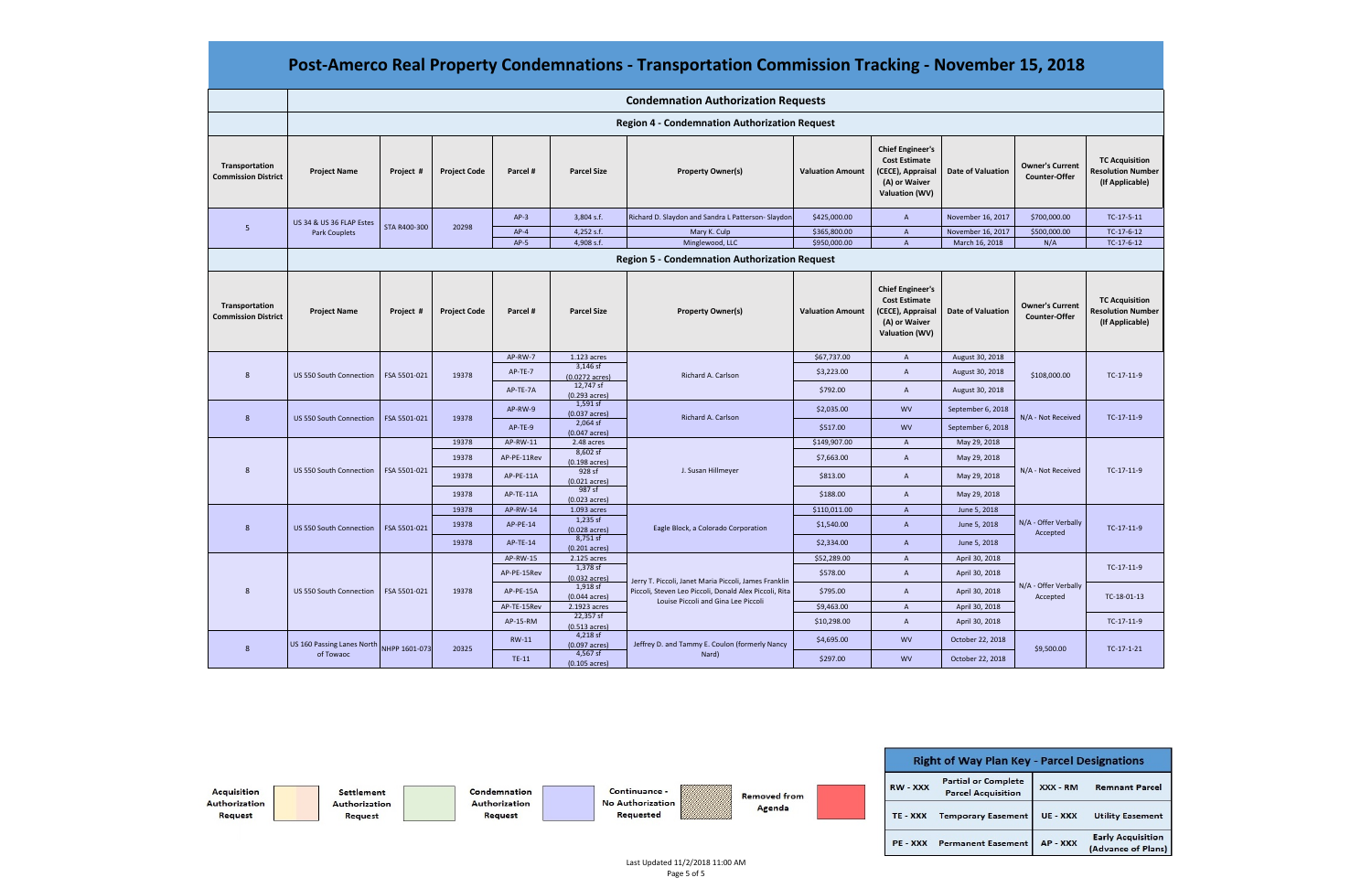|                                              | <b>Condemnation Authorization Requests</b>           |               |                     |              |                                        |                                                                                                                                                        |                         |                                                                                                                |                          |                                                |                                                                      |
|----------------------------------------------|------------------------------------------------------|---------------|---------------------|--------------|----------------------------------------|--------------------------------------------------------------------------------------------------------------------------------------------------------|-------------------------|----------------------------------------------------------------------------------------------------------------|--------------------------|------------------------------------------------|----------------------------------------------------------------------|
|                                              | <b>Region 4 - Condemnation Authorization Request</b> |               |                     |              |                                        |                                                                                                                                                        |                         |                                                                                                                |                          |                                                |                                                                      |
| Transportation<br><b>Commission District</b> | <b>Project Name</b>                                  | Project #     | <b>Project Code</b> | Parcel #     | <b>Parcel Size</b>                     | <b>Property Owner(s)</b>                                                                                                                               | <b>Valuation Amount</b> | <b>Chief Engineer's</b><br><b>Cost Estimate</b><br>(CECE), Appraisal<br>(A) or Waiver<br><b>Valuation (WV)</b> | <b>Date of Valuation</b> | <b>Owner's Current</b><br><b>Counter-Offer</b> | <b>TC Acquisition</b><br><b>Resolution Number</b><br>(If Applicable) |
| 5                                            | US 34 & US 36 FLAP Estes<br><b>Park Couplets</b>     | STA R400-300  | 20298               | $AP-3$       | 3,804 s.f.                             | Richard D. Slaydon and Sandra L Patterson-Slaydon                                                                                                      | \$425,000.00            | $\overline{A}$                                                                                                 | November 16, 2017        | \$700,000.00                                   | TC-17-5-11                                                           |
|                                              |                                                      |               |                     | $AP-4$       | 4,252 s.f.                             | Mary K. Culp                                                                                                                                           | \$365,800.00            | $\overline{A}$                                                                                                 | November 16, 2017        | \$500,000.00                                   | TC-17-6-12                                                           |
|                                              |                                                      |               |                     | $AP-5$       | 4,908 s.f.                             | Minglewood, LLC                                                                                                                                        | \$950,000.00            | $\overline{A}$                                                                                                 | March 16, 2018           | N/A                                            | TC-17-6-12                                                           |
|                                              | <b>Region 5 - Condemnation Authorization Request</b> |               |                     |              |                                        |                                                                                                                                                        |                         |                                                                                                                |                          |                                                |                                                                      |
| Transportation<br><b>Commission District</b> | <b>Project Name</b>                                  | Project #     | <b>Project Code</b> | Parcel #     | <b>Parcel Size</b>                     | <b>Property Owner(s)</b>                                                                                                                               | <b>Valuation Amount</b> | <b>Chief Engineer's</b><br><b>Cost Estimate</b><br>(CECE), Appraisal<br>(A) or Waiver<br><b>Valuation (WV)</b> | <b>Date of Valuation</b> | <b>Owner's Current</b><br><b>Counter-Offer</b> | <b>TC Acquisition</b><br><b>Resolution Number</b><br>(If Applicable) |
| 8                                            | US 550 South Connection                              | FSA 5501-021  | 19378               | AP-RW-7      | 1.123 acres                            | Richard A. Carlson                                                                                                                                     | \$67,737.00             | $\,$ A                                                                                                         | August 30, 2018          | \$108,000.00                                   | $TC-17-11-9$                                                         |
|                                              |                                                      |               |                     | AP-TE-7      | $3,146$ sf<br>$(0.0272 \text{ acres})$ |                                                                                                                                                        | \$3,223.00              | $\overline{A}$                                                                                                 | August 30, 2018          |                                                |                                                                      |
|                                              |                                                      |               |                     | AP-TE-7A     | 12,747 sf                              |                                                                                                                                                        | \$792.00                | $\overline{A}$                                                                                                 | August 30, 2018          |                                                |                                                                      |
|                                              |                                                      |               |                     |              | $(0.293 \text{ acres})$<br>$1,591$ sf  |                                                                                                                                                        |                         |                                                                                                                |                          |                                                |                                                                      |
| 8                                            | <b>US 550 South Connection</b>                       | FSA 5501-021  | 19378               | AP-RW-9      | $(0.037 \text{ acres})$                | Richard A. Carlson                                                                                                                                     | \$2,035.00              | <b>WV</b>                                                                                                      | September 6, 2018        | N/A - Not Received                             | $TC-17-11-9$                                                         |
|                                              |                                                      |               |                     | AP-TE-9      | $2,064$ sf<br>$(0.047 \text{ acres})$  |                                                                                                                                                        | \$517.00                | <b>WV</b>                                                                                                      | September 6, 2018        |                                                |                                                                      |
| 8                                            | US 550 South Connection                              | FSA 5501-021  | 19378               | AP-RW-11     | 2.48 acres                             |                                                                                                                                                        | \$149,907.00            | $\overline{A}$                                                                                                 | May 29, 2018             | N/A - Not Received                             | TC-17-11-9                                                           |
|                                              |                                                      |               | 19378               | AP-PE-11Rev  | 8,602 sf<br>$(0.198 \text{ acres})$    | J. Susan Hillmeyer                                                                                                                                     | \$7,663.00              | $\overline{A}$                                                                                                 | May 29, 2018             |                                                |                                                                      |
|                                              |                                                      |               | 19378               | AP-PE-11A    | 928 sf                                 |                                                                                                                                                        | \$813.00                | $\overline{A}$                                                                                                 | May 29, 2018             |                                                |                                                                      |
|                                              |                                                      |               |                     |              | $(0.021 \text{ acres})$<br>987 sf      |                                                                                                                                                        |                         |                                                                                                                |                          |                                                |                                                                      |
|                                              |                                                      |               | 19378               | AP-TE-11A    | $(0.023 \text{ acres})$                |                                                                                                                                                        | \$188.00                | $\overline{A}$                                                                                                 | May 29, 2018             |                                                |                                                                      |
| 8                                            | US 550 South Connection                              | FSA 5501-021  | 19378               | AP-RW-14     | 1.093 acres<br>$1,235$ sf              | Eagle Block, a Colorado Corporation                                                                                                                    | \$110,011.00            | $\overline{A}$                                                                                                 | June 5, 2018             | N/A - Offer Verbally<br>Accepted               | $TC-17-11-9$                                                         |
|                                              |                                                      |               | 19378               | AP-PE-14     | $(0.028 \text{ acres})$                |                                                                                                                                                        | \$1,540.00              | $\overline{A}$                                                                                                 | June 5, 2018             |                                                |                                                                      |
|                                              |                                                      |               | 19378               | AP-TE-14     | $8,751$ sf<br>$(0.201 \text{ acres})$  |                                                                                                                                                        | \$2,334.00              | $\overline{A}$                                                                                                 | June 5, 2018             |                                                |                                                                      |
| $\mathsf{R}$                                 | US 550 South Connection                              | FSA 5501-021  | 19378               | AP-RW-15     | 2.125 acres                            | Jerry T. Piccoli, Janet Maria Piccoli, James Franklin<br>Piccoli, Steven Leo Piccoli, Donald Alex Piccoli, Rita<br>Louise Piccoli and Gina Lee Piccoli | \$52,289.00             | $\overline{A}$                                                                                                 | April 30, 2018           | N/A - Offer Verbally<br>Accepted               | TC-17-11-9                                                           |
|                                              |                                                      |               |                     | AP-PE-15Rev  | $1,378$ sf<br>$(0.032 \text{ acres})$  |                                                                                                                                                        | \$578.00                | $\overline{A}$                                                                                                 | April 30, 2018           |                                                |                                                                      |
|                                              |                                                      |               |                     | AP-PE-15A    | 1,918 sf<br>$(0.044 \text{ acres})$    |                                                                                                                                                        | \$795.00                | $\overline{A}$                                                                                                 | April 30, 2018           |                                                | TC-18-01-13                                                          |
|                                              |                                                      |               |                     | AP-TE-15Rev  | 2.1923 acres<br>22,357 sf              |                                                                                                                                                        | \$9,463.00              | $\overline{A}$                                                                                                 | April 30, 2018           |                                                |                                                                      |
|                                              |                                                      |               |                     | AP-15-RM     | $(0.513 \text{ acres})$                |                                                                                                                                                        | \$10,298.00             | $\overline{A}$                                                                                                 | April 30, 2018           |                                                | $TC-17-11-9$                                                         |
| 8                                            | US 160 Passing Lanes North<br>of Towaoc              | NHPP 1601-073 | 20325               | <b>RW-11</b> | $4,218$ sf<br>$(0.097 \text{ acres})$  | Jeffrey D. and Tammy E. Coulon (formerly Nancy<br>Nard)                                                                                                | \$4,695.00              | <b>WV</b>                                                                                                      | October 22, 2018         | \$9,500.00                                     | $TC-17-1-21$                                                         |
|                                              |                                                      |               |                     | TE-11        | 4,567 sf<br>$(0.105 \text{ acres})$    |                                                                                                                                                        | \$297.00                | <b>WV</b>                                                                                                      | October 22, 2018         |                                                |                                                                      |



# **Post‐Amerco Real Property Condemnations ‐ Transportation Commission Tracking ‐ November 15, 2018**

| <b>Key - Parcel Designations</b> |          |                                                |  |  |  |  |  |  |
|----------------------------------|----------|------------------------------------------------|--|--|--|--|--|--|
| lete<br>ion                      | XXX - RM | <b>Remnant Parcel</b>                          |  |  |  |  |  |  |
| nent                             | UE - XXX | <b>Utility Easement</b>                        |  |  |  |  |  |  |
| nent                             | AP - XXX | <b>Early Acquisition</b><br>(Advance of Plans) |  |  |  |  |  |  |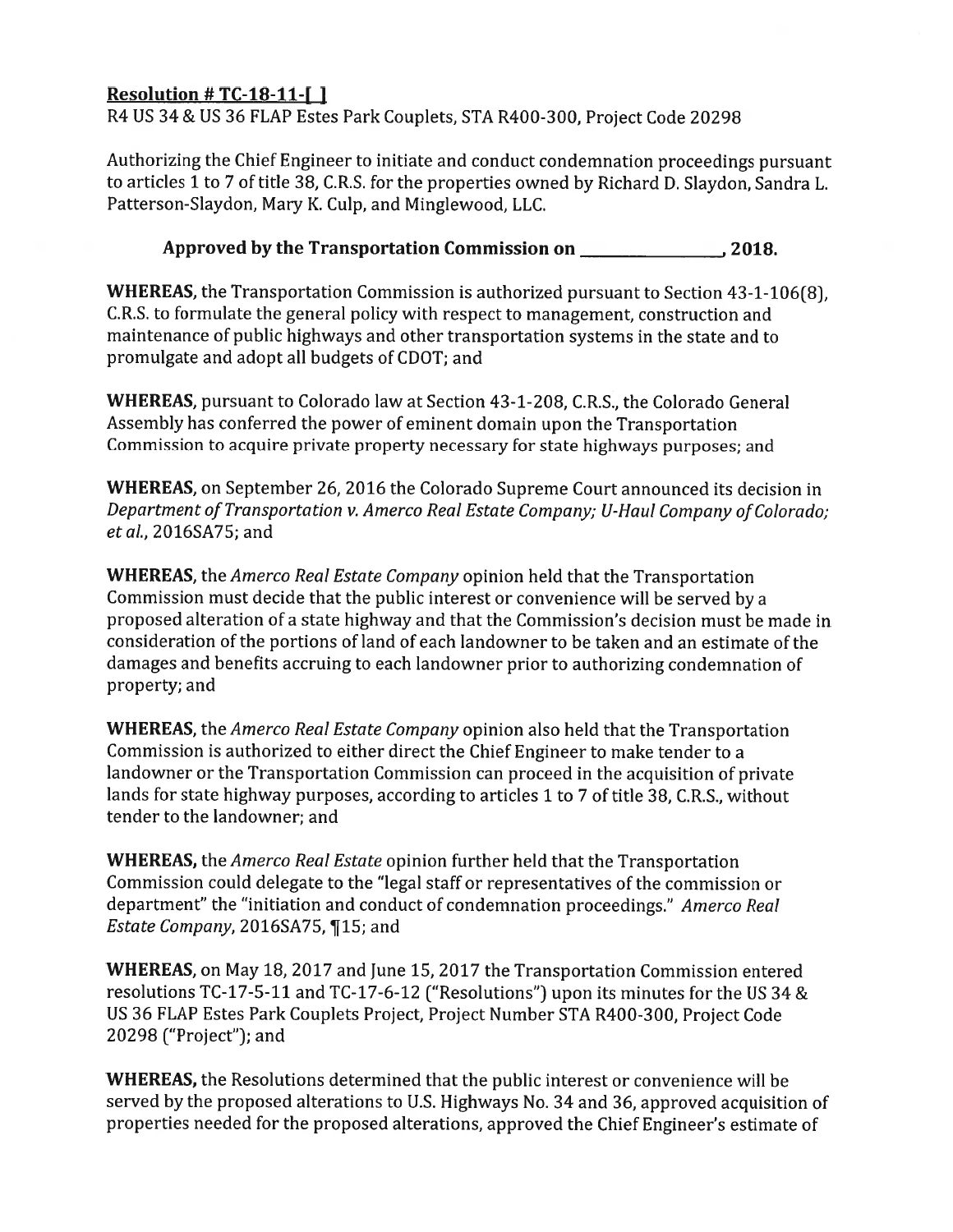# Resolution #  $TC-18-11-$ []

R4 US 34 & US 36 FLAP Estes Park Couplets, STA R400-300, Project Code 20298

Authorizing the Chief Engineer to initiate and conduct condemnation proceedings pursuant to articles 1 to 7 of title 38, C.R.S. for the properties owned by Richard D. Slaydon, Sandra L. Patterson-Slaydon, Mary K. Culp, and Minglewood, LLC.

# 

WHEREAS, the Transportation Commission is authorized pursuant to Section 43-1-106(8). C.R.S. to formulate the general policy with respect to management, construction and maintenance of public highways and other transportation systems in the state and to promulgate and adopt all budgets of CDOT; and

WHEREAS, pursuant to Colorado law at Section 43-1-208, C.R.S., the Colorado General Assembly has conferred the power of eminent domain upon the Transportation Commission to acquire private property necessary for state highways purposes; and

**WHEREAS**, on September 26, 2016 the Colorado Supreme Court announced its decision in Department of Transportation v. Amerco Real Estate Company; U-Haul Company of Colorado; et al., 2016SA75; and

**WHEREAS**, the Amerco Real Estate Company opinion held that the Transportation Commission must decide that the public interest or convenience will be served by a proposed alteration of a state highway and that the Commission's decision must be made in consideration of the portions of land of each landowner to be taken and an estimate of the damages and benefits accruing to each landowner prior to authorizing condemnation of property; and

**WHEREAS**, the Amerco Real Estate Company opinion also held that the Transportation Commission is authorized to either direct the Chief Engineer to make tender to a landowner or the Transportation Commission can proceed in the acquisition of private lands for state highway purposes, according to articles 1 to 7 of title 38, C.R.S., without tender to the landowner; and

**WHEREAS**, the Amerco Real Estate opinion further held that the Transportation Commission could delegate to the "legal staff or representatives of the commission or department" the "initiation and conduct of condemnation proceedings." Amerco Real Estate Company, 2016SA75, ¶15; and

**WHEREAS, on May 18, 2017 and June 15, 2017 the Transportation Commission entered** resolutions TC-17-5-11 and TC-17-6-12 ("Resolutions") upon its minutes for the US 34 & US 36 FLAP Estes Park Couplets Project, Project Number STA R400-300, Project Code 20298 ("Project"); and

**WHEREAS, the Resolutions determined that the public interest or convenience will be** served by the proposed alterations to U.S. Highways No. 34 and 36, approved acquisition of properties needed for the proposed alterations, approved the Chief Engineer's estimate of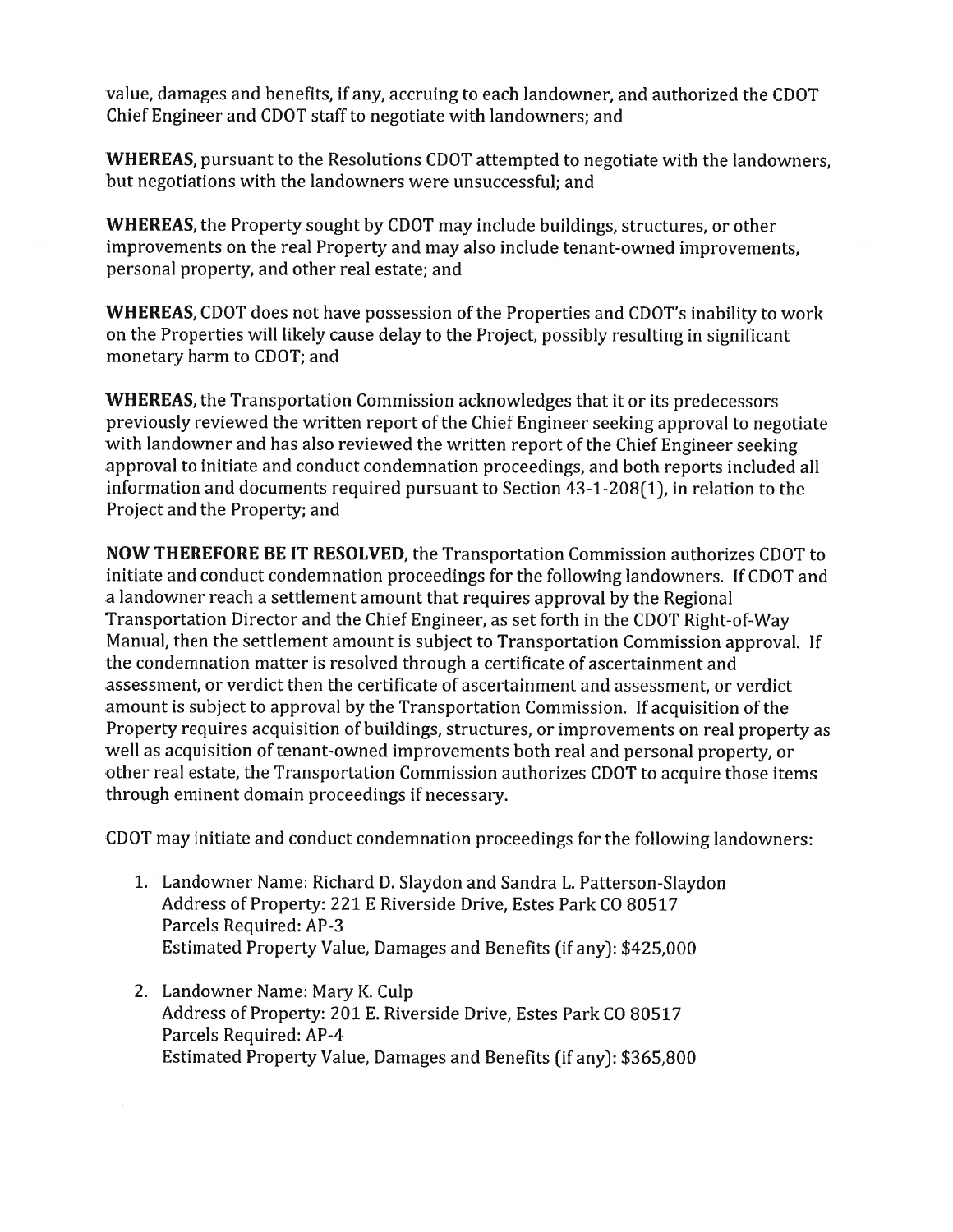value, damages and benefits, if any, accruing to each landowner, and authorized the CDOT Chief Engineer and CDOT staff to negotiate with landowners; and

**WHEREAS**, pursuant to the Resolutions CDOT attempted to negotiate with the landowners. but negotiations with the landowners were unsuccessful; and

**WHEREAS, the Property sought by CDOT may include buildings, structures, or other** improvements on the real Property and may also include tenant-owned improvements, personal property, and other real estate; and

WHEREAS, CDOT does not have possession of the Properties and CDOT's inability to work on the Properties will likely cause delay to the Project, possibly resulting in significant monetary harm to CDOT; and

**WHEREAS**, the Transportation Commission acknowledges that it or its predecessors previously reviewed the written report of the Chief Engineer seeking approval to negotiate with landowner and has also reviewed the written report of the Chief Engineer seeking approval to initiate and conduct condemnation proceedings, and both reports included all information and documents required pursuant to Section 43-1-208(1), in relation to the Project and the Property; and

NOW THEREFORE BE IT RESOLVED, the Transportation Commission authorizes CDOT to initiate and conduct condemnation proceedings for the following landowners. If CDOT and a landowner reach a settlement amount that requires approval by the Regional Transportation Director and the Chief Engineer, as set forth in the CDOT Right-of-Way Manual, then the settlement amount is subject to Transportation Commission approval. If the condemnation matter is resolved through a certificate of ascertainment and assessment, or verdict then the certificate of ascertainment and assessment, or verdict amount is subject to approval by the Transportation Commission. If acquisition of the Property requires acquisition of buildings, structures, or improvements on real property as well as acquisition of tenant-owned improvements both real and personal property, or other real estate, the Transportation Commission authorizes CDOT to acquire those items through eminent domain proceedings if necessary.

CDOT may initiate and conduct condemnation proceedings for the following landowners:

- 1. Landowner Name: Richard D. Slaydon and Sandra L. Patterson-Slaydon Address of Property: 221 E Riverside Drive, Estes Park CO 80517 Parcels Required: AP-3 Estimated Property Value, Damages and Benefits (if any): \$425,000
- 2. Landowner Name: Mary K. Culp Address of Property: 201 E. Riverside Drive, Estes Park CO 80517 Parcels Required: AP-4 Estimated Property Value, Damages and Benefits (if any): \$365,800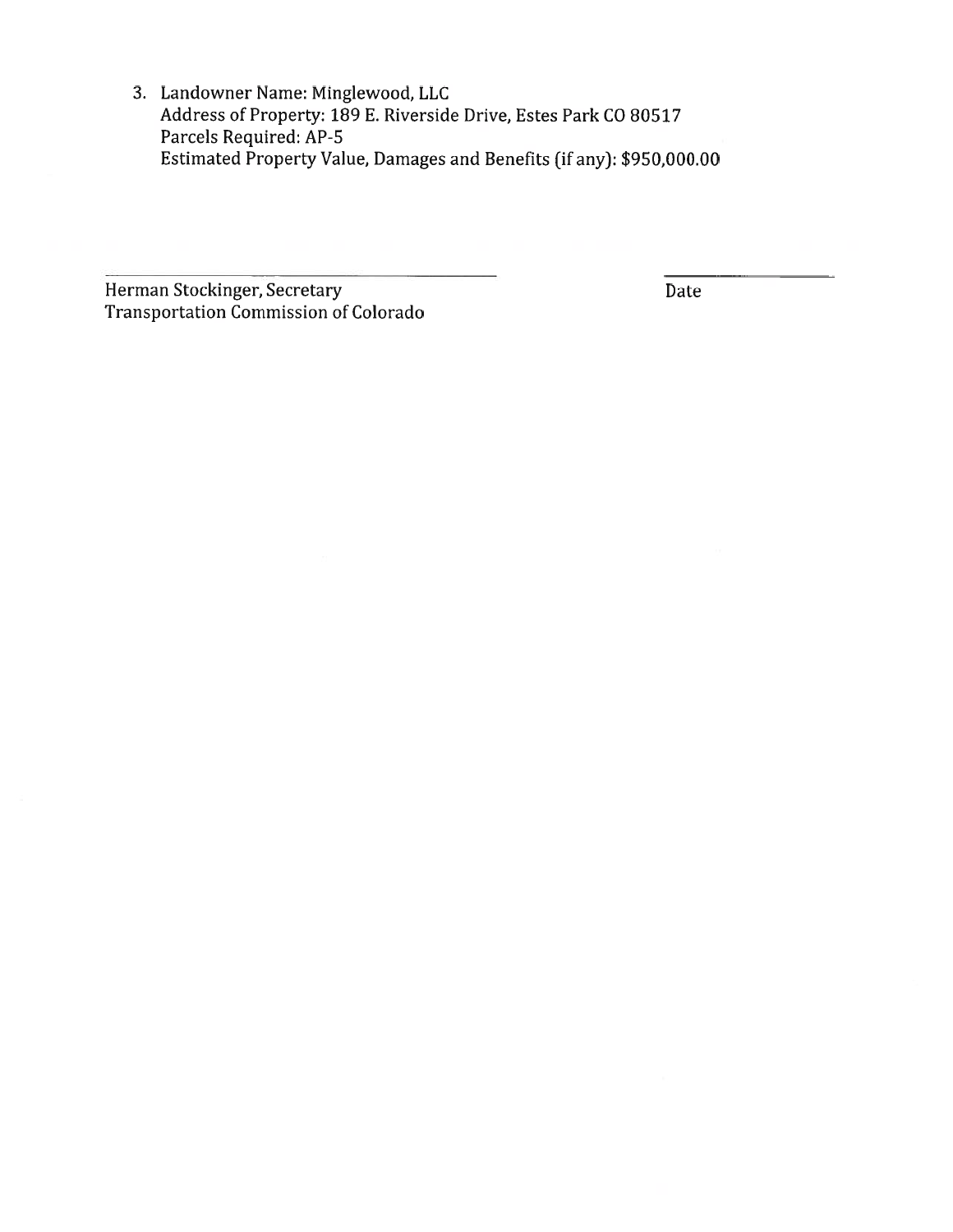3. Landowner Name: Minglewood, LLC Address of Property: 189 E. Riverside Drive, Estes Park CO 80517 Parcels Required: AP-5 Estimated Property Value, Damages and Benefits (if any): \$950,000.00

Herman Stockinger, Secretary Transportation Commission of Colorado

Date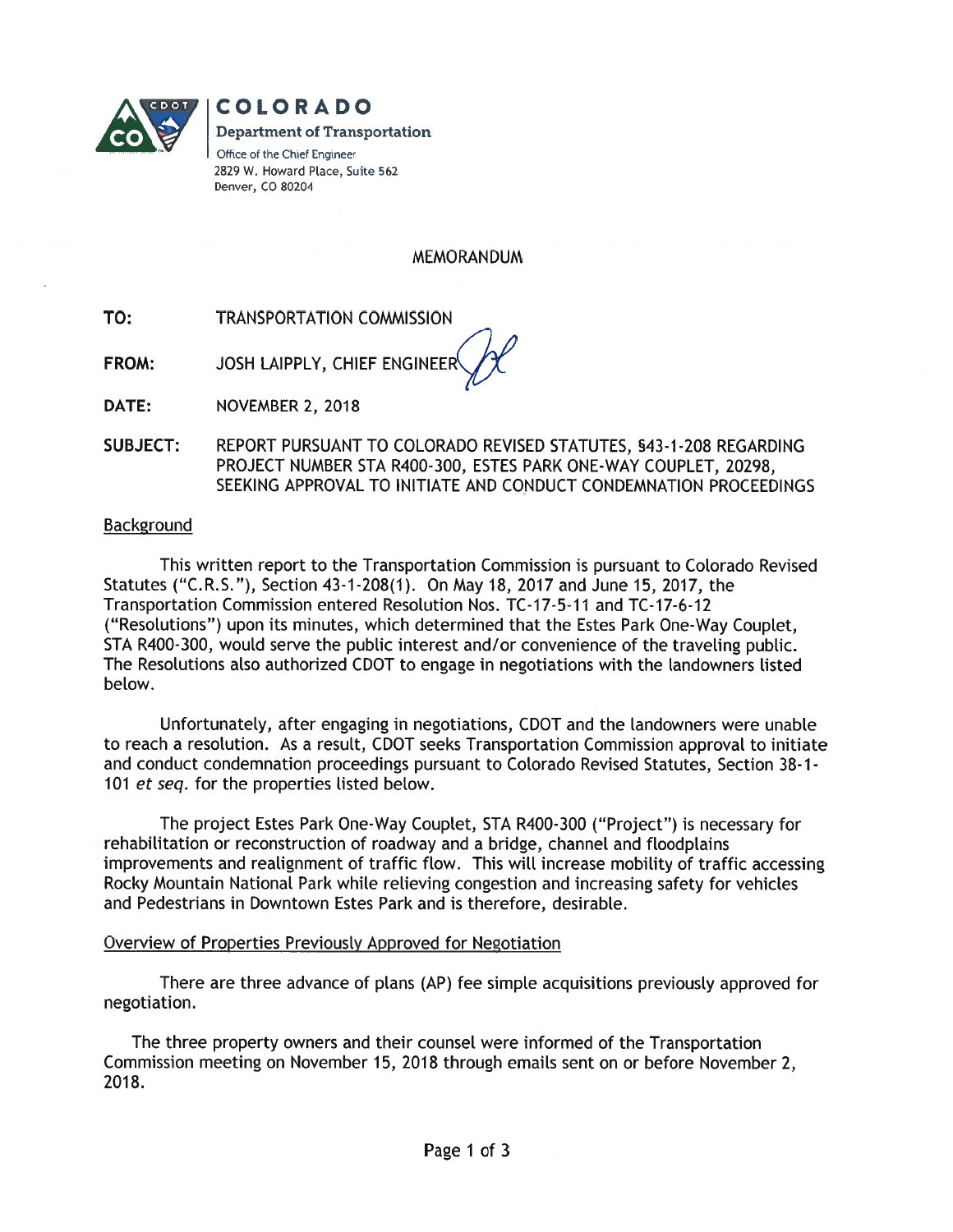

**COLORADO Department of Transportation** Office of the Chief Engineer 2829 W. Howard Place, Suite 562 Denver, CO 80204

**MEMORANDUM** 

- TO: **TRANSPORTATION COMMISSION**
- JOSH LAIPPLY, CHIEF ENGINEER FROM:

DATE: **NOVEMBER 2, 2018** 

**SUBJECT:** REPORT PURSUANT TO COLORADO REVISED STATUTES, §43-1-208 REGARDING PROJECT NUMBER STA R400-300, ESTES PARK ONE-WAY COUPLET, 20298, SEEKING APPROVAL TO INITIATE AND CONDUCT CONDEMNATION PROCEEDINGS

### **Background**

This written report to the Transportation Commission is pursuant to Colorado Revised Statutes ("C.R.S."), Section 43-1-208(1). On May 18, 2017 and June 15, 2017, the Transportation Commission entered Resolution Nos. TC-17-5-11 and TC-17-6-12 ("Resolutions") upon its minutes, which determined that the Estes Park One-Way Couplet, STA R400-300, would serve the public interest and/or convenience of the traveling public. The Resolutions also authorized CDOT to engage in negotiations with the landowners listed below.

Unfortunately, after engaging in negotiations, CDOT and the landowners were unable to reach a resolution. As a result, CDOT seeks Transportation Commission approval to initiate and conduct condemnation proceedings pursuant to Colorado Revised Statutes, Section 38-1-101 et seq. for the properties listed below.

The project Estes Park One-Way Couplet, STA R400-300 ("Project") is necessary for rehabilitation or reconstruction of roadway and a bridge, channel and floodplains improvements and realignment of traffic flow. This will increase mobility of traffic accessing Rocky Mountain National Park while relieving congestion and increasing safety for vehicles and Pedestrians in Downtown Estes Park and is therefore, desirable.

#### Overview of Properties Previously Approved for Negotiation

There are three advance of plans (AP) fee simple acquisitions previously approved for negotiation.

The three property owners and their counsel were informed of the Transportation Commission meeting on November 15, 2018 through emails sent on or before November 2, 2018.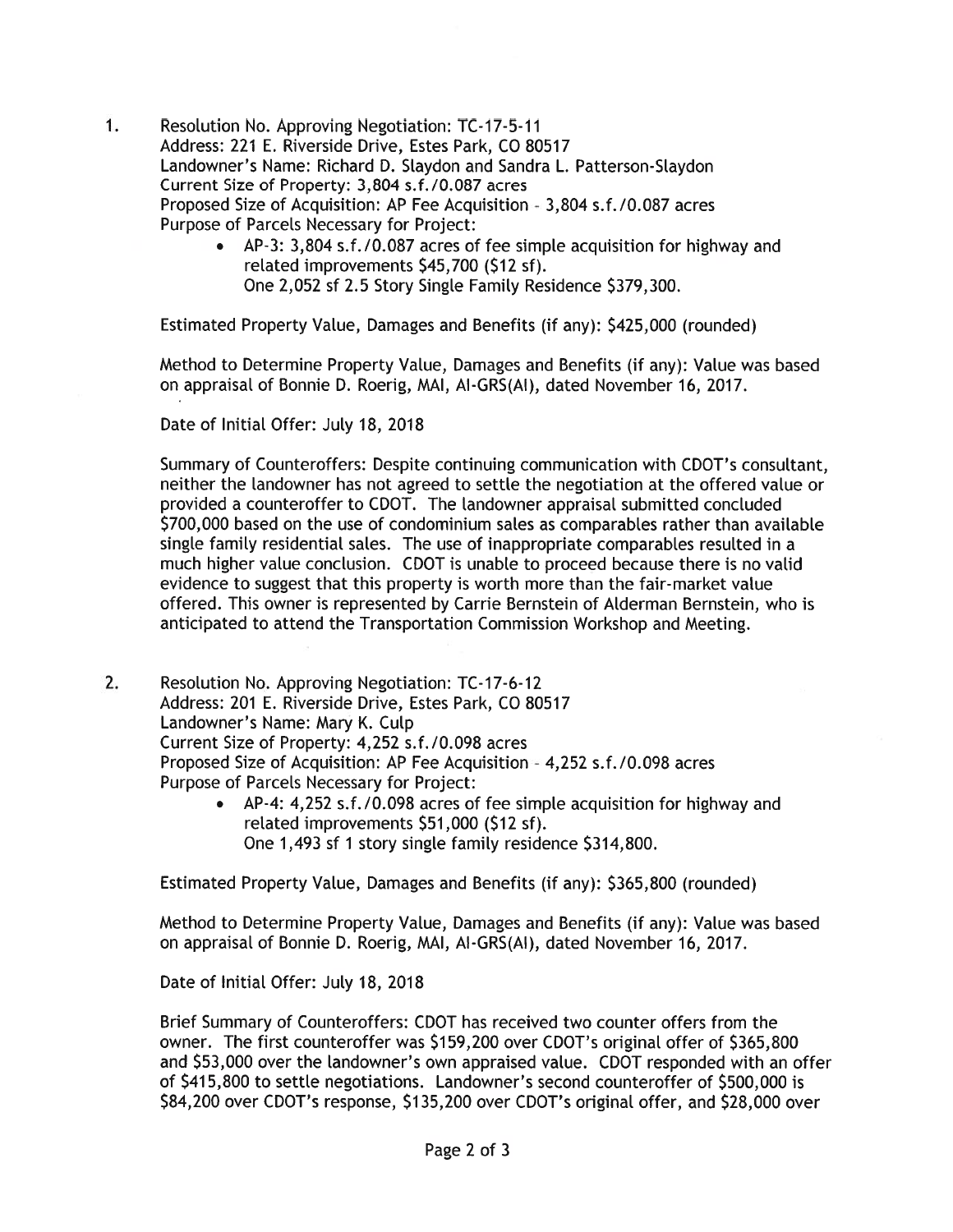- $1.$ Resolution No. Approving Negotiation: TC-17-5-11 Address: 221 E. Riverside Drive, Estes Park, CO 80517 Landowner's Name: Richard D. Slaydon and Sandra L. Patterson-Slaydon Current Size of Property: 3,804 s.f./0.087 acres Proposed Size of Acquisition: AP Fee Acquisition - 3,804 s.f./0.087 acres Purpose of Parcels Necessary for Project:
	- AP-3: 3,804 s.f./0.087 acres of fee simple acquisition for highway and related improvements \$45,700 (\$12 sf). One 2.052 sf 2.5 Story Single Family Residence \$379,300.

Estimated Property Value, Damages and Benefits (if any): \$425,000 (rounded)

Method to Determine Property Value, Damages and Benefits (if any): Value was based on appraisal of Bonnie D. Roerig, MAI, AI-GRS(AI), dated November 16, 2017.

Date of Initial Offer: July 18, 2018

Summarv of Counteroffers: Despite continuing communication with CDOT's consultant, neither the landowner has not agreed to settle the negotiation at the offered value or provided a counteroffer to CDOT. The landowner appraisal submitted concluded \$700,000 based on the use of condominium sales as comparables rather than available single family residential sales. The use of inappropriate comparables resulted in a much higher value conclusion. CDOT is unable to proceed because there is no valid evidence to suggest that this property is worth more than the fair-market value offered. This owner is represented by Carrie Bernstein of Alderman Bernstein, who is anticipated to attend the Transportation Commission Workshop and Meeting.

- 2. Resolution No. Approving Negotiation: TC-17-6-12 Address: 201 E. Riverside Drive, Estes Park, CO 80517 Landowner's Name: Mary K. Culp Current Size of Property: 4.252 s.f./0.098 acres Proposed Size of Acquisition: AP Fee Acquisition - 4,252 s.f./0.098 acres Purpose of Parcels Necessary for Project:
	- AP-4: 4,252 s.f./0.098 acres of fee simple acquisition for highway and related improvements \$51,000 (\$12 sf). One 1,493 sf 1 story single family residence \$314,800.

Estimated Property Value, Damages and Benefits (if any): \$365,800 (rounded)

Method to Determine Property Value, Damages and Benefits (if any): Value was based on appraisal of Bonnie D. Roerig, MAI, AI-GRS(AI), dated November 16, 2017.

Date of Initial Offer: July 18, 2018

Brief Summary of Counteroffers: CDOT has received two counter offers from the owner. The first counteroffer was \$159,200 over CDOT's original offer of \$365,800 and \$53,000 over the landowner's own appraised value. CDOT responded with an offer of \$415,800 to settle negotiations. Landowner's second counteroffer of \$500,000 is \$84,200 over CDOT's response, \$135,200 over CDOT's original offer, and \$28,000 over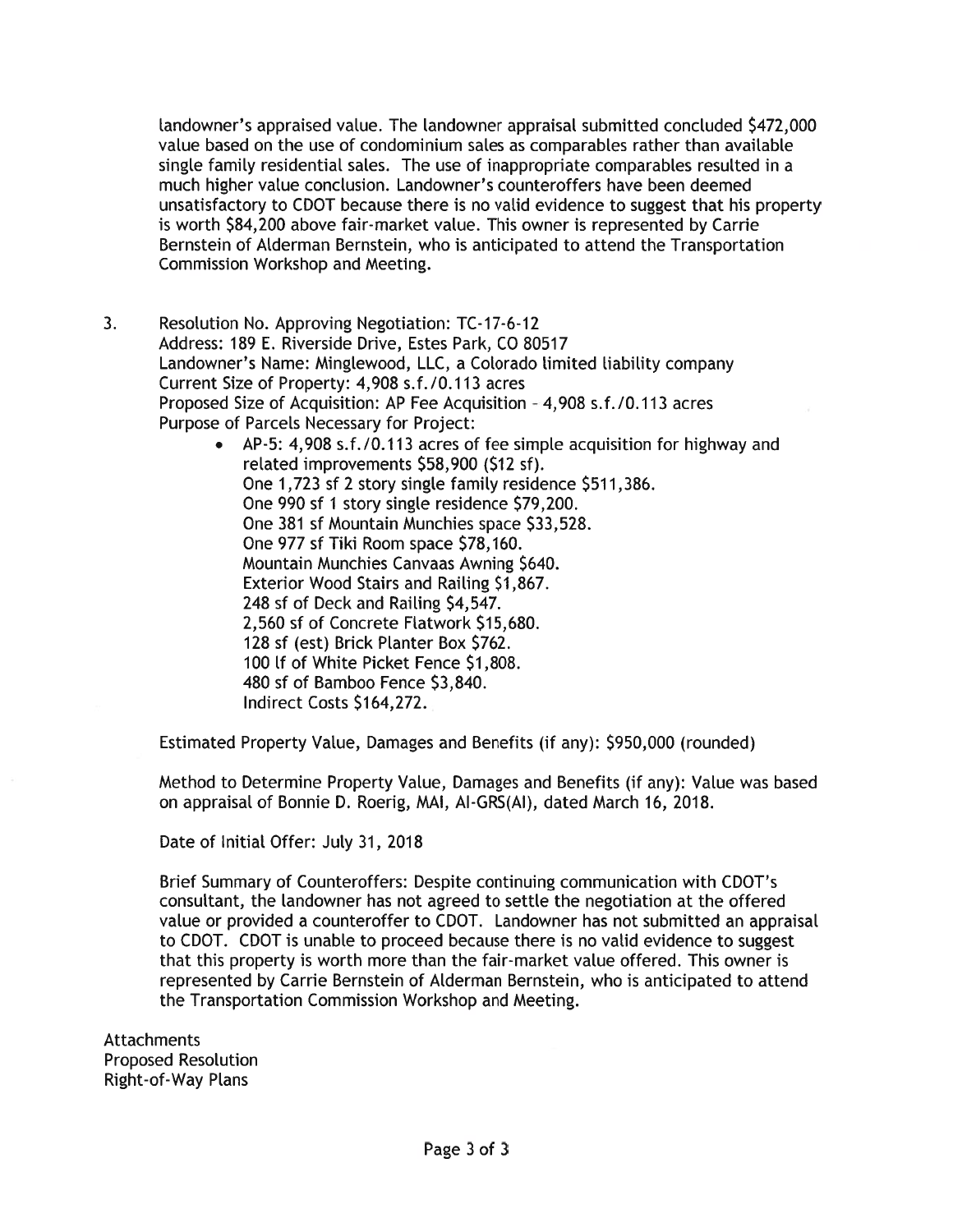landowner's appraised value. The landowner appraisal submitted concluded \$472,000 value based on the use of condominium sales as comparables rather than available single family residential sales. The use of inappropriate comparables resulted in a much higher value conclusion. Landowner's counteroffers have been deemed unsatisfactory to CDOT because there is no valid evidence to suggest that his property is worth \$84,200 above fair-market value. This owner is represented by Carrie Bernstein of Alderman Bernstein, who is anticipated to attend the Transportation Commission Workshop and Meeting.

 $3.$ Resolution No. Approving Negotiation: TC-17-6-12 Address: 189 E. Riverside Drive, Estes Park, CO 80517 Landowner's Name: Minglewood, LLC, a Colorado limited liability company Current Size of Property: 4,908 s.f./0.113 acres Proposed Size of Acquisition: AP Fee Acquisition - 4,908 s.f./0.113 acres Purpose of Parcels Necessary for Project:

• AP-5: 4,908 s.f./0.113 acres of fee simple acquisition for highway and related improvements \$58,900 (\$12 sf). One 1,723 sf 2 story single family residence \$511,386. One 990 sf 1 story single residence \$79,200. One 381 sf Mountain Munchies space \$33,528. One 977 sf Tiki Room space \$78,160. Mountain Munchies Canvaas Awning \$640. Exterior Wood Stairs and Railing \$1,867. 248 sf of Deck and Railing \$4,547. 2,560 sf of Concrete Flatwork \$15,680. 128 sf (est) Brick Planter Box \$762. 100 If of White Picket Fence \$1,808. 480 sf of Bamboo Fence \$3,840. Indirect Costs \$164,272.

Estimated Property Value, Damages and Benefits (if any): \$950,000 (rounded)

Method to Determine Property Value, Damages and Benefits (if any): Value was based on appraisal of Bonnie D. Roerig, MAI, AI-GRS(AI), dated March 16, 2018.

Date of Initial Offer: July 31, 2018

Brief Summary of Counteroffers: Despite continuing communication with CDOT's consultant, the landowner has not agreed to settle the negotiation at the offered value or provided a counteroffer to CDOT. Landowner has not submitted an appraisal to CDOT. CDOT is unable to proceed because there is no valid evidence to suggest that this property is worth more than the fair-market value offered. This owner is represented by Carrie Bernstein of Alderman Bernstein, who is anticipated to attend the Transportation Commission Workshop and Meeting.

**Attachments Proposed Resolution** Right-of-Way Plans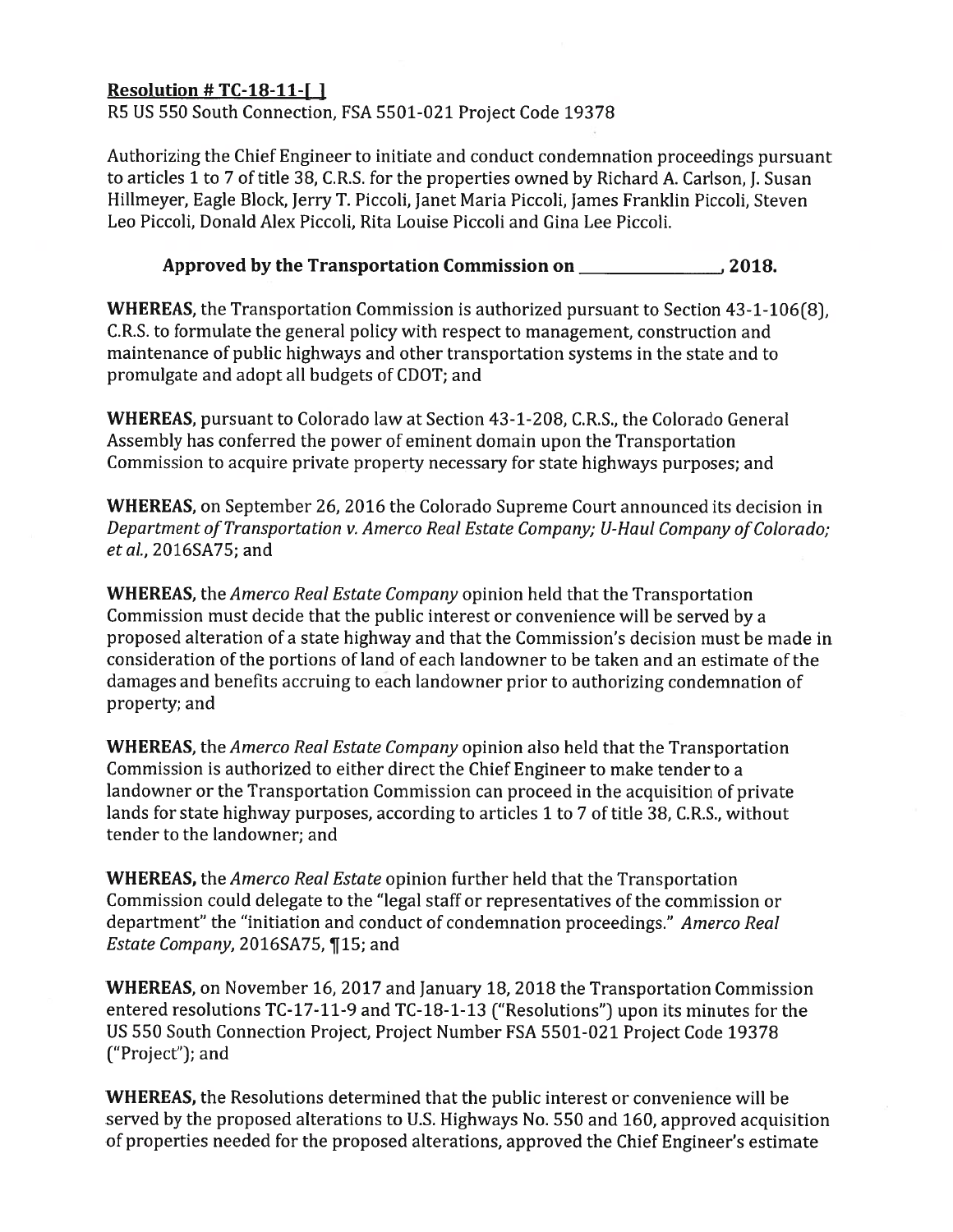## Resolution #  $TC-18-11-1$

R5 US 550 South Connection, FSA 5501-021 Project Code 19378

Authorizing the Chief Engineer to initiate and conduct condemnation proceedings pursuant to articles 1 to 7 of title 38, C.R.S. for the properties owned by Richard A. Carlson, J. Susan Hillmeyer, Eagle Block, Jerry T. Piccoli, Janet Maria Piccoli, James Franklin Piccoli, Steven Leo Piccoli, Donald Alex Piccoli, Rita Louise Piccoli and Gina Lee Piccoli.

## Approved by the Transportation Commission on 2018.

WHEREAS, the Transportation Commission is authorized pursuant to Section 43-1-106(8), C.R.S. to formulate the general policy with respect to management, construction and maintenance of public highways and other transportation systems in the state and to promulgate and adopt all budgets of CDOT; and

**WHEREAS**, pursuant to Colorado law at Section 43-1-208, C.R.S., the Colorado General Assembly has conferred the power of eminent domain upon the Transportation Commission to acquire private property necessary for state highways purposes; and

**WHEREAS**, on September 26, 2016 the Colorado Supreme Court announced its decision in Department of Transportation v. Amerco Real Estate Company; U-Haul Company of Colorado; et al., 2016SA75; and

**WHEREAS**, the *Amerco Real Estate Company* opinion held that the Transportation Commission must decide that the public interest or convenience will be served by a proposed alteration of a state highway and that the Commission's decision must be made in consideration of the portions of land of each landowner to be taken and an estimate of the damages and benefits accruing to each landowner prior to authorizing condemnation of property; and

**WHEREAS**, the *Amerco Real Estate Company* opinion also held that the Transportation Commission is authorized to either direct the Chief Engineer to make tender to a landowner or the Transportation Commission can proceed in the acquisition of private lands for state highway purposes, according to articles 1 to 7 of title 38, C.R.S., without tender to the landowner: and

**WHEREAS,** the *Amerco Real Estate* opinion further held that the Transportation Commission could delegate to the "legal staff or representatives of the commission or department" the "initiation and conduct of condemnation proceedings." Amerco Real Estate Company, 2016SA75, ¶15; and

**WHEREAS**, on November 16, 2017 and January 18, 2018 the Transportation Commission entered resolutions TC-17-11-9 and TC-18-1-13 ("Resolutions") upon its minutes for the US 550 South Connection Project, Project Number FSA 5501-021 Project Code 19378 ("Project"); and

**WHEREAS, the Resolutions determined that the public interest or convenience will be** served by the proposed alterations to U.S. Highways No. 550 and 160, approved acquisition of properties needed for the proposed alterations, approved the Chief Engineer's estimate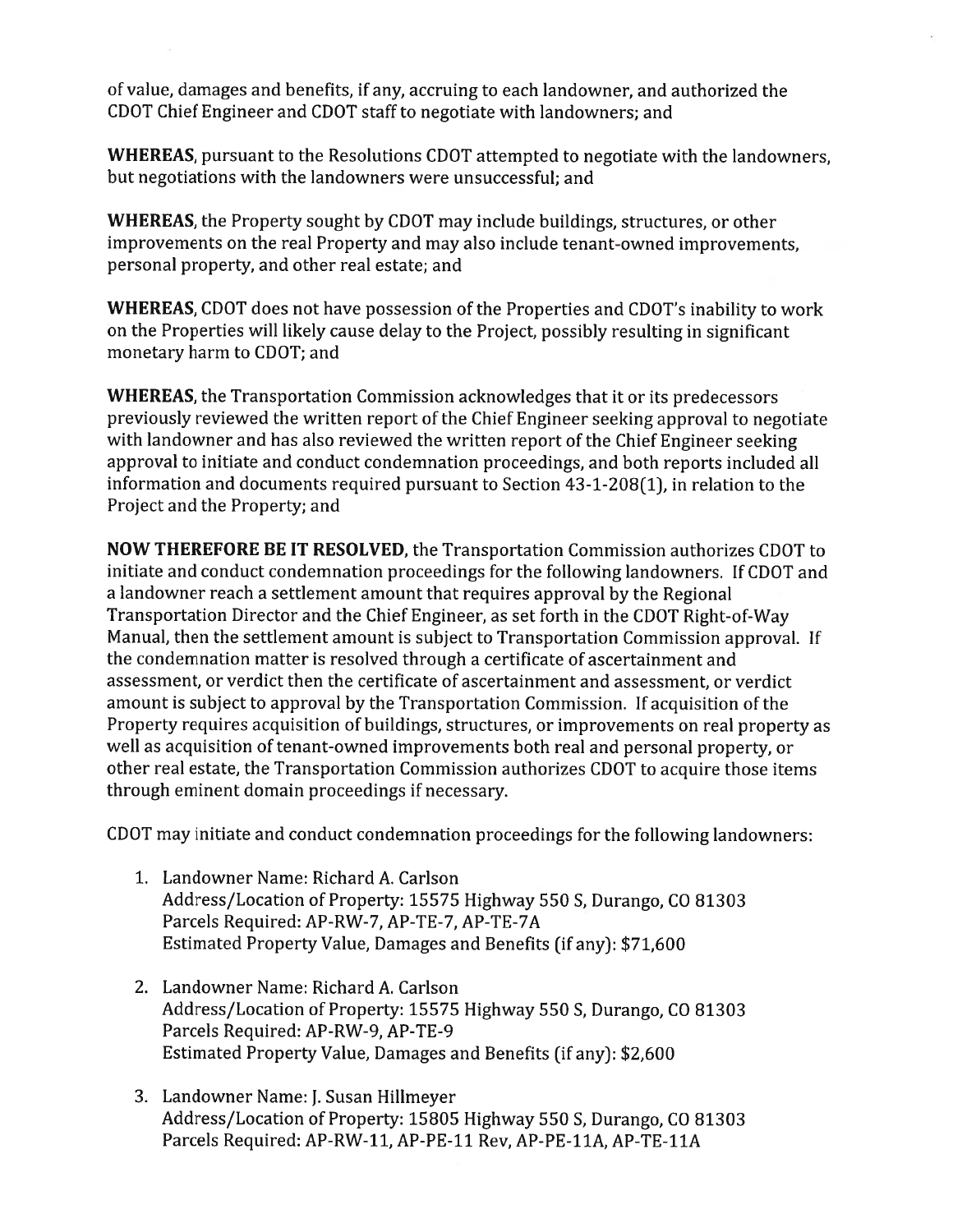of value, damages and benefits, if any, accruing to each landowner, and authorized the CDOT Chief Engineer and CDOT staff to negotiate with landowners; and

**WHEREAS**, pursuant to the Resolutions CDOT attempted to negotiate with the landowners. but negotiations with the landowners were unsuccessful; and

**WHEREAS, the Property sought by CDOT may include buildings, structures, or other** improvements on the real Property and may also include tenant-owned improvements. personal property, and other real estate; and

**WHEREAS, CDOT** does not have possession of the Properties and CDOT's inability to work on the Properties will likely cause delay to the Project, possibly resulting in significant monetary harm to CDOT; and

**WHEREAS, the Transportation Commission acknowledges that it or its predecessors** previously reviewed the written report of the Chief Engineer seeking approval to negotiate with landowner and has also reviewed the written report of the Chief Engineer seeking approval to initiate and conduct condemnation proceedings, and both reports included all information and documents required pursuant to Section 43-1-208(1), in relation to the Project and the Property; and

**NOW THEREFORE BE IT RESOLVED, the Transportation Commission authorizes CDOT to** initiate and conduct condemnation proceedings for the following landowners. If CDOT and a landowner reach a settlement amount that requires approval by the Regional Transportation Director and the Chief Engineer, as set forth in the CDOT Right-of-Way Manual, then the settlement amount is subject to Transportation Commission approval. If the condemnation matter is resolved through a certificate of ascertainment and assessment, or verdict then the certificate of ascertainment and assessment, or verdict amount is subject to approval by the Transportation Commission. If acquisition of the Property requires acquisition of buildings, structures, or improvements on real property as well as acquisition of tenant-owned improvements both real and personal property, or other real estate, the Transportation Commission authorizes CDOT to acquire those items through eminent domain proceedings if necessary.

CDOT may initiate and conduct condemnation proceedings for the following landowners:

- 1. Landowner Name: Richard A. Carlson Address/Location of Property: 15575 Highway 550 S, Durango, CO 81303 Parcels Required: AP-RW-7, AP-TE-7, AP-TE-7A Estimated Property Value, Damages and Benefits (if any): \$71,600
- 2. Landowner Name: Richard A. Carlson Address/Location of Property: 15575 Highway 550 S, Durango, CO 81303 Parcels Required: AP-RW-9, AP-TE-9 Estimated Property Value, Damages and Benefits (if any): \$2,600
- 3. Landowner Name: J. Susan Hillmeyer Address/Location of Property: 15805 Highway 550 S, Durango, CO 81303 Parcels Required: AP-RW-11, AP-PE-11 Rev, AP-PE-11A, AP-TE-11A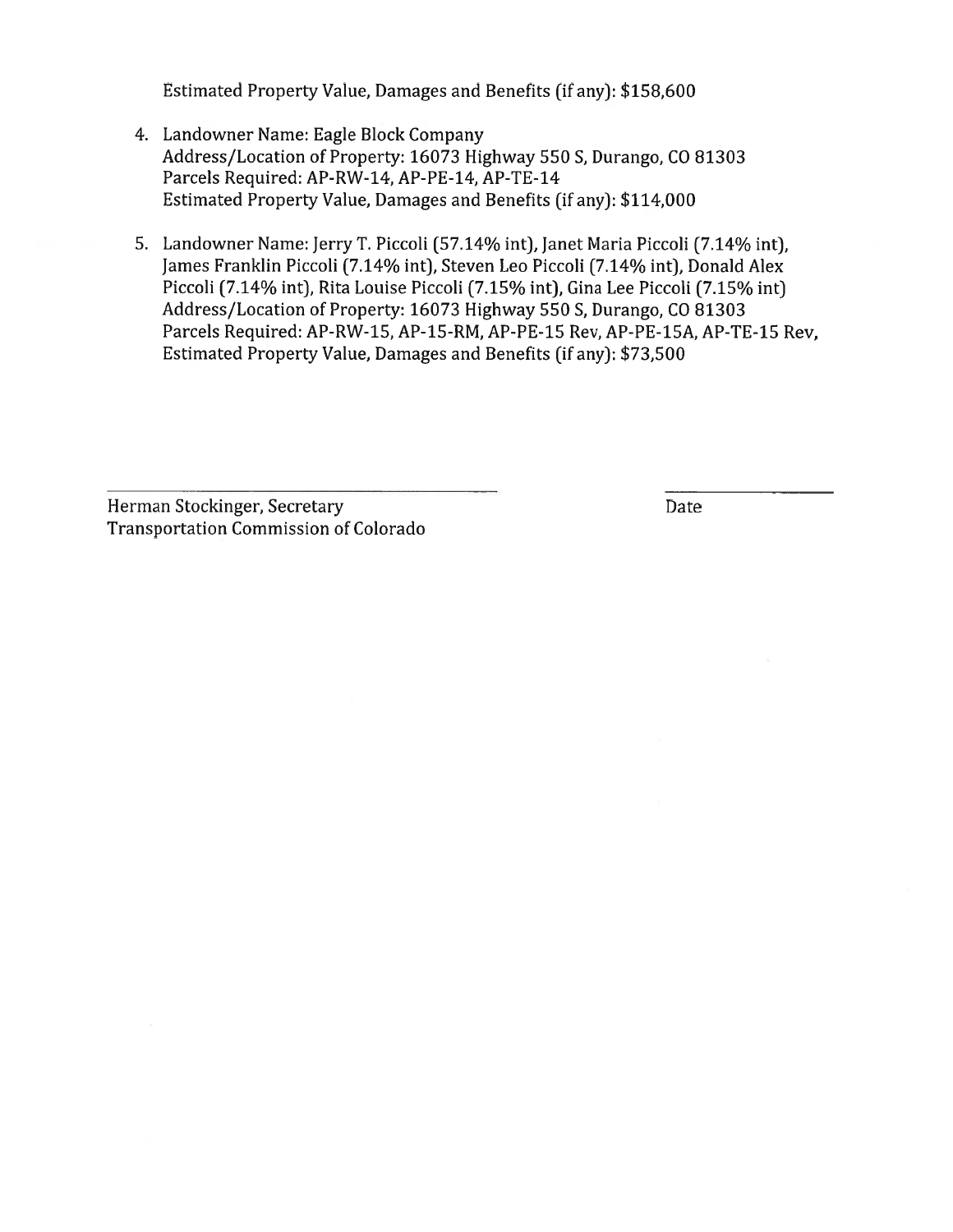Estimated Property Value, Damages and Benefits (if any): \$158,600

- 4. Landowner Name: Eagle Block Company Address/Location of Property: 16073 Highway 550 S, Durango, CO 81303 Parcels Required: AP-RW-14, AP-PE-14, AP-TE-14 Estimated Property Value, Damages and Benefits (if any): \$114,000
- 5. Landowner Name: Jerry T. Piccoli (57.14% int), Janet Maria Piccoli (7.14% int), James Franklin Piccoli (7.14% int), Steven Leo Piccoli (7.14% int), Donald Alex Piccoli (7.14% int), Rita Louise Piccoli (7.15% int), Gina Lee Piccoli (7.15% int) Address/Location of Property: 16073 Highway 550 S, Durango, CO 81303 Parcels Required: AP-RW-15, AP-15-RM, AP-PE-15 Rev, AP-PE-15A, AP-TE-15 Rev, Estimated Property Value, Damages and Benefits (if any): \$73,500

Herman Stockinger, Secretary **Transportation Commission of Colorado**  Date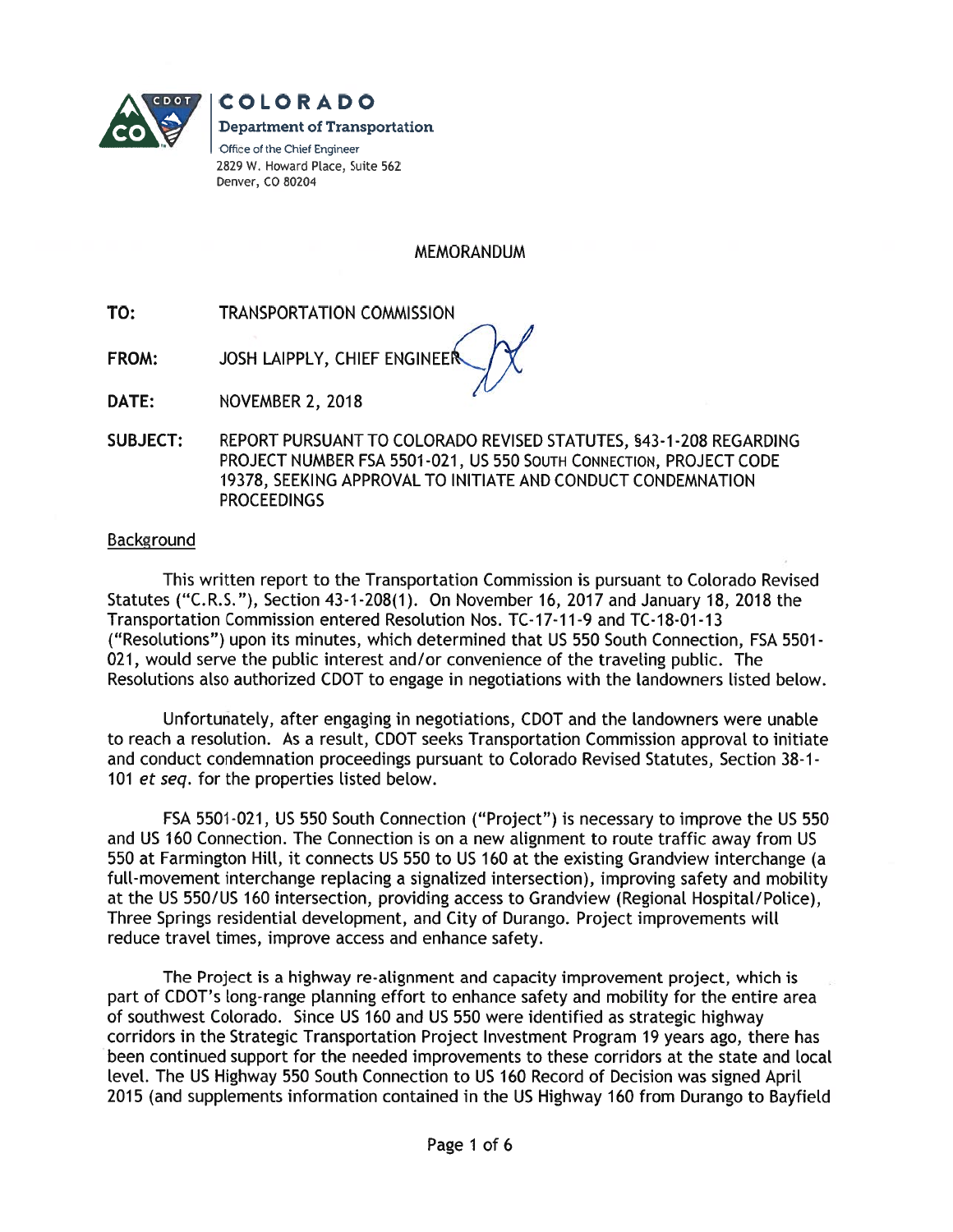

**COLORADO Department of Transportation** Office of the Chief Engineer 2829 W. Howard Place, Suite 562 Denver, CO 80204

**MEMORANDUM** 

- TO: **TRANSPORTATION COMMISSION**
- **FROM:** JOSH LAIPPLY, CHIEF ENGINEE

DATE: NOVEMBER 2, 2018

**SUBJECT:** REPORT PURSUANT TO COLORADO REVISED STATUTES, §43-1-208 REGARDING PROJECT NUMBER FSA 5501-021, US 550 SOUTH CONNECTION, PROJECT CODE 19378, SEEKING APPROVAL TO INITIATE AND CONDUCT CONDEMNATION **PROCEEDINGS** 

#### Background

This written report to the Transportation Commission is pursuant to Colorado Revised Statutes ("C.R.S."), Section 43-1-208(1). On November 16, 2017 and January 18, 2018 the Transportation Commission entered Resolution Nos. TC-17-11-9 and TC-18-01-13 ("Resolutions") upon its minutes, which determined that US 550 South Connection, FSA 5501-021, would serve the public interest and/or convenience of the traveling public. The Resolutions also authorized CDOT to engage in negotiations with the landowners listed below.

Unfortunately, after engaging in negotiations, CDOT and the landowners were unable to reach a resolution. As a result, CDOT seeks Transportation Commission approval to initiate and conduct condemnation proceedings pursuant to Colorado Revised Statutes, Section 38-1-101 et seq. for the properties listed below.

FSA 5501-021, US 550 South Connection ("Project") is necessary to improve the US 550 and US 160 Connection. The Connection is on a new alignment to route traffic away from US 550 at Farmington Hill, it connects US 550 to US 160 at the existing Grandview interchange (a full-movement interchange replacing a signalized intersection), improving safety and mobility at the US 550/US 160 intersection, providing access to Grandview (Regional Hospital/Police), Three Springs residential development, and City of Durango. Project improvements will reduce travel times, improve access and enhance safety.

The Project is a highway re-alignment and capacity improvement project, which is part of CDOT's long-range planning effort to enhance safety and mobility for the entire area of southwest Colorado. Since US 160 and US 550 were identified as strategic highway corridors in the Strategic Transportation Project Investment Program 19 years ago, there has been continued support for the needed improvements to these corridors at the state and local level. The US Highway 550 South Connection to US 160 Record of Decision was signed April 2015 (and supplements information contained in the US Highway 160 from Durango to Bayfield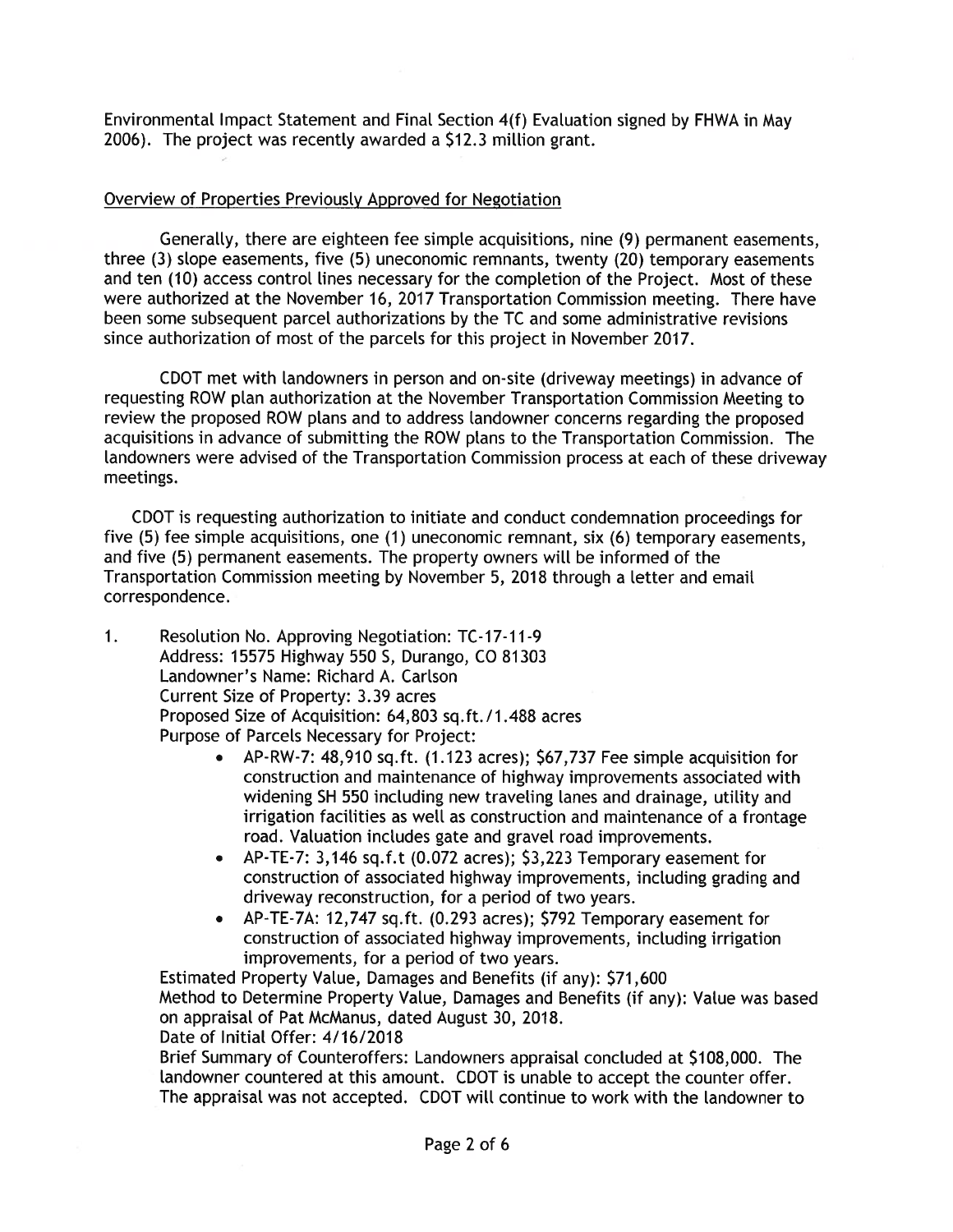Environmental Impact Statement and Final Section 4(f) Evaluation signed by FHWA in May 2006). The project was recently awarded a \$12.3 million grant.

## Overview of Properties Previously Approved for Negotiation

Generally, there are eighteen fee simple acquisitions, nine (9) permanent easements, three (3) slope easements, five (5) uneconomic remnants, twenty (20) temporary easements and ten (10) access control lines necessary for the completion of the Project. Most of these were authorized at the November 16, 2017 Transportation Commission meeting. There have been some subsequent parcel authorizations by the TC and some administrative revisions since authorization of most of the parcels for this project in November 2017.

CDOT met with landowners in person and on-site (driveway meetings) in advance of requesting ROW plan authorization at the November Transportation Commission Meeting to review the proposed ROW plans and to address landowner concerns regarding the proposed acquisitions in advance of submitting the ROW plans to the Transportation Commission. The landowners were advised of the Transportation Commission process at each of these driveway meetings.

CDOT is requesting authorization to initiate and conduct condemnation proceedings for five (5) fee simple acquisitions, one (1) uneconomic remnant, six (6) temporary easements, and five (5) permanent easements. The property owners will be informed of the Transportation Commission meeting by November 5, 2018 through a letter and email correspondence.

- $1.$ Resolution No. Approving Negotiation: TC-17-11-9 Address: 15575 Highway 550 S, Durango, CO 81303 Landowner's Name: Richard A. Carlson Current Size of Property: 3.39 acres Proposed Size of Acquisition: 64,803 sq.ft./1.488 acres Purpose of Parcels Necessary for Project:
	- AP-RW-7: 48,910 sq.ft. (1.123 acres); \$67,737 Fee simple acquisition for construction and maintenance of highway improvements associated with widening SH 550 including new traveling lanes and drainage, utility and irrigation facilities as well as construction and maintenance of a frontage road. Valuation includes gate and gravel road improvements.
	- AP-TE-7: 3.146 sq.f.t (0.072 acres): \$3.223 Temporary easement for construction of associated highway improvements, including grading and driveway reconstruction, for a period of two years.
	- AP-TE-7A: 12,747 sq.ft. (0.293 acres); \$792 Temporary easement for construction of associated highway improvements, including irrigation improvements, for a period of two years.

Estimated Property Value, Damages and Benefits (if any): \$71,600 Method to Determine Property Value, Damages and Benefits (if any): Value was based on appraisal of Pat McManus, dated August 30, 2018.

Date of Initial Offer: 4/16/2018

Brief Summary of Counteroffers: Landowners appraisal concluded at \$108,000. The landowner countered at this amount. CDOT is unable to accept the counter offer. The appraisal was not accepted. CDOT will continue to work with the landowner to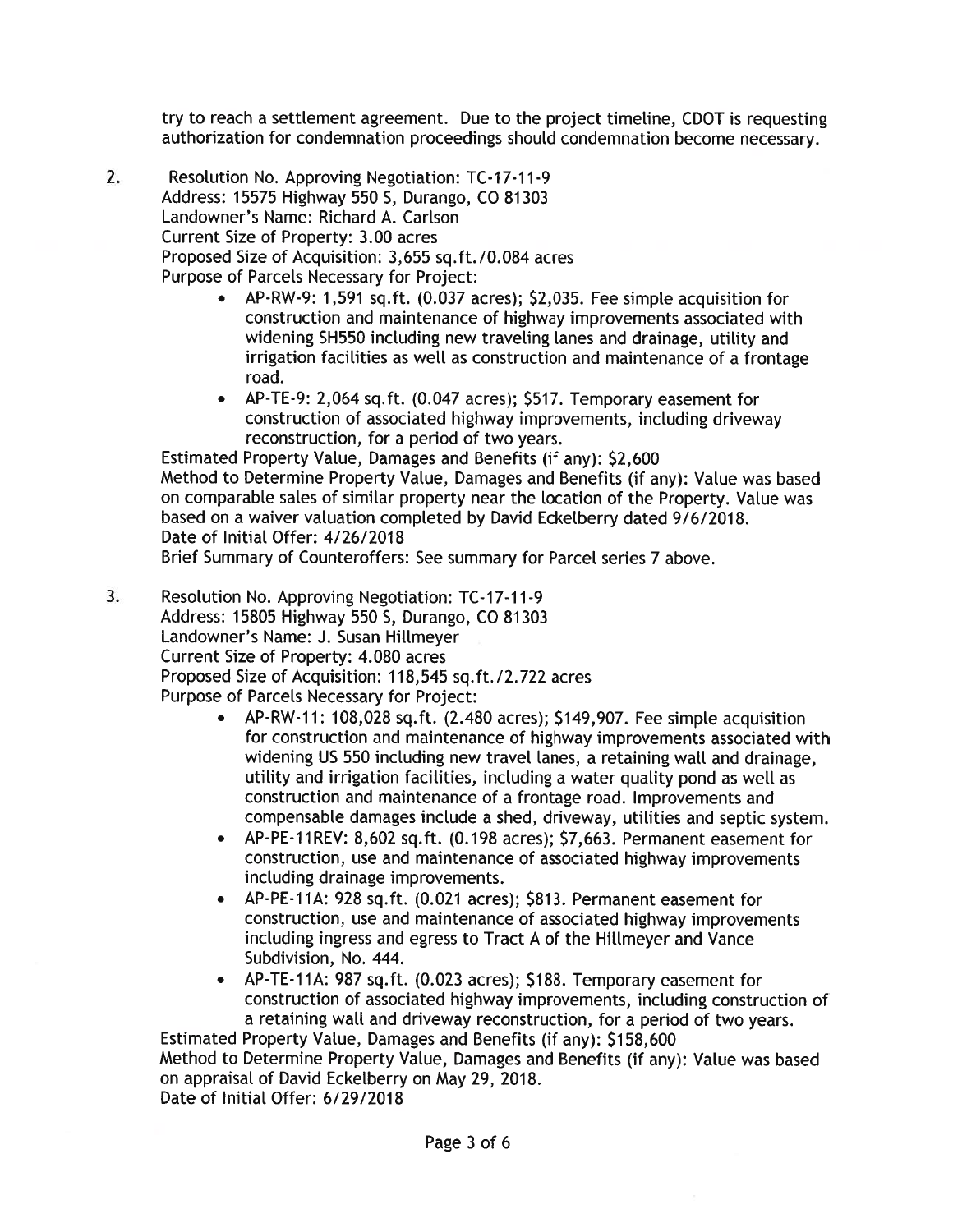try to reach a settlement agreement. Due to the project timeline, CDOT is requesting authorization for condemnation proceedings should condemnation become necessary.

- $\overline{2}$ . Resolution No. Approving Negotiation: TC-17-11-9 Address: 15575 Highway 550 S, Durango, CO 81303 Landowner's Name: Richard A. Carlson Current Size of Property: 3.00 acres Proposed Size of Acquisition: 3,655 sq.ft./0.084 acres Purpose of Parcels Necessary for Project:
	- AP-RW-9: 1,591 sq.ft. (0.037 acres); \$2,035. Fee simple acquisition for construction and maintenance of highway improvements associated with widening SH550 including new traveling lanes and drainage, utility and irrigation facilities as well as construction and maintenance of a frontage road.
	- AP-TE-9: 2,064 sq.ft. (0.047 acres); \$517. Temporary easement for construction of associated highway improvements, including driveway reconstruction, for a period of two years.

Estimated Property Value, Damages and Benefits (if any): \$2,600 Method to Determine Property Value, Damages and Benefits (if any): Value was based on comparable sales of similar property near the location of the Property. Value was based on a waiver valuation completed by David Eckelberry dated 9/6/2018. Date of Initial Offer: 4/26/2018

Brief Summary of Counteroffers: See summary for Parcel series 7 above.

- 3. Resolution No. Approving Negotiation: TC-17-11-9 Address: 15805 Highway 550 S, Durango, CO 81303 Landowner's Name: J. Susan Hillmeyer Current Size of Property: 4.080 acres Proposed Size of Acquisition: 118,545 sq.ft./2.722 acres Purpose of Parcels Necessary for Project:
	- AP-RW-11: 108.028 sq.ft. (2.480 acres); \$149,907. Fee simple acquisition for construction and maintenance of highway improvements associated with widening US 550 including new travel lanes, a retaining wall and drainage, utility and irrigation facilities, including a water quality pond as well as construction and maintenance of a frontage road. Improvements and compensable damages include a shed, driveway, utilities and septic system.
	- AP-PE-11REV: 8,602 sq.ft. (0.198 acres); \$7,663. Permanent easement for construction, use and maintenance of associated highway improvements including drainage improvements.
	- AP-PE-11A: 928 sq.ft. (0.021 acres); \$813. Permanent easement for construction, use and maintenance of associated highway improvements including ingress and egress to Tract A of the Hillmeyer and Vance Subdivision, No. 444.
	- AP-TE-11A: 987 sq.ft. (0.023 acres); \$188. Temporary easement for construction of associated highway improvements, including construction of a retaining wall and driveway reconstruction, for a period of two years.

Estimated Property Value, Damages and Benefits (if any): \$158,600 Method to Determine Property Value, Damages and Benefits (if any): Value was based on appraisal of David Eckelberry on May 29, 2018. Date of Initial Offer: 6/29/2018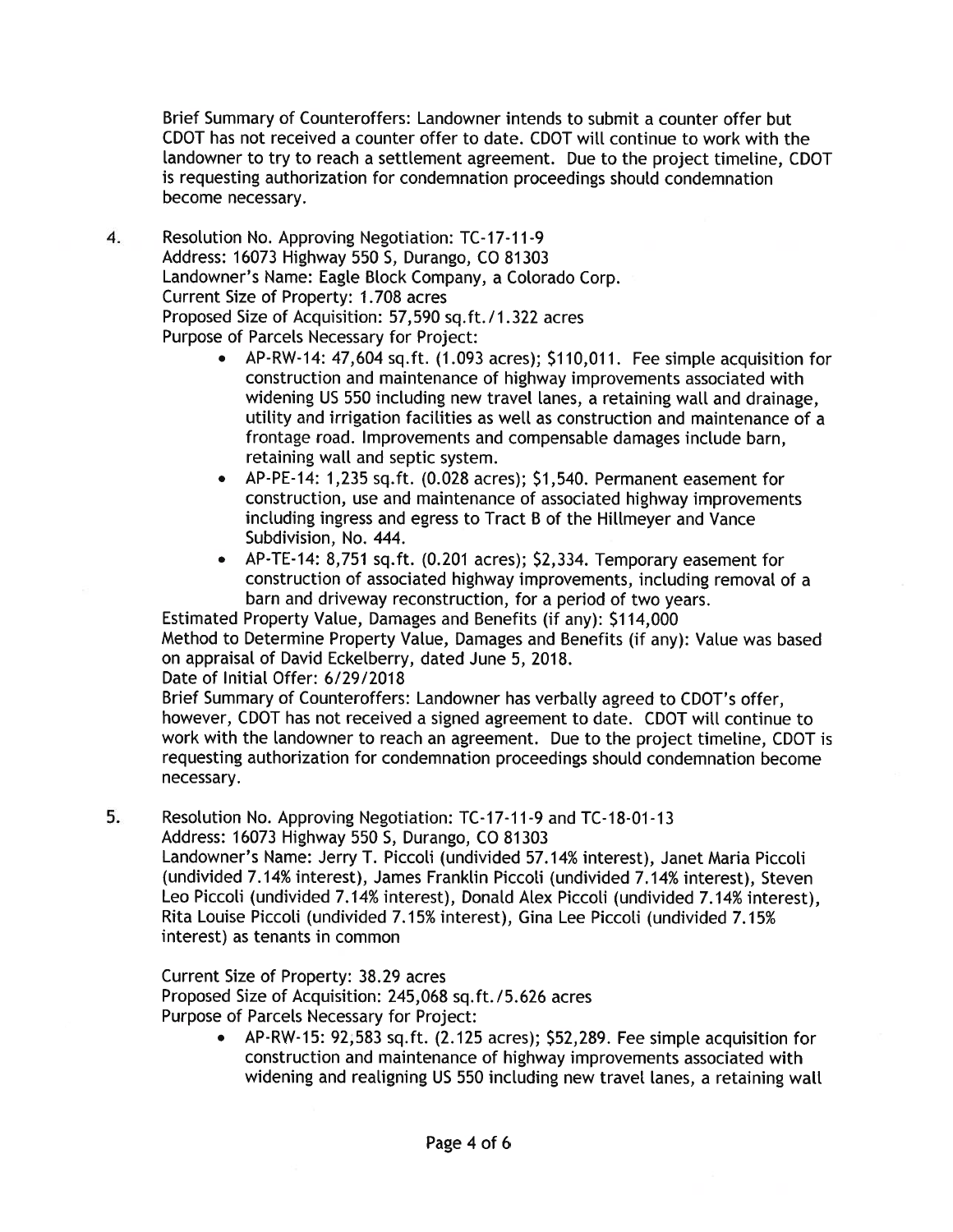Brief Summary of Counteroffers: Landowner intends to submit a counter offer but CDOT has not received a counter offer to date. CDOT will continue to work with the landowner to try to reach a settlement agreement. Due to the project timeline, CDOT is requesting authorization for condemnation proceedings should condemnation become necessary.

- 4. Resolution No. Approving Negotiation: TC-17-11-9 Address: 16073 Highway 550 S, Durango, CO 81303 Landowner's Name: Eagle Block Company, a Colorado Corp. Current Size of Property: 1.708 acres Proposed Size of Acquisition: 57,590 sq.ft./1.322 acres Purpose of Parcels Necessary for Project:
	- AP-RW-14: 47,604 sq.ft. (1.093 acres); \$110,011. Fee simple acquisition for construction and maintenance of highway improvements associated with widening US 550 including new travel lanes, a retaining wall and drainage, utility and irrigation facilities as well as construction and maintenance of a frontage road. Improvements and compensable damages include barn, retaining wall and septic system.
	- AP-PE-14: 1,235 sq.ft. (0.028 acres); \$1,540. Permanent easement for construction, use and maintenance of associated highway improvements including ingress and egress to Tract B of the Hillmeyer and Vance Subdivision, No. 444.
	- AP-TE-14: 8,751 sq.ft. (0.201 acres); \$2,334. Temporary easement for construction of associated highway improvements, including removal of a barn and driveway reconstruction, for a period of two years.

Estimated Property Value, Damages and Benefits (if any): \$114,000 Method to Determine Property Value, Damages and Benefits (if any): Value was based on appraisal of David Eckelberry, dated June 5, 2018.

Date of Initial Offer: 6/29/2018

Brief Summary of Counteroffers: Landowner has verbally agreed to CDOT's offer, however, CDOT has not received a signed agreement to date. CDOT will continue to work with the landowner to reach an agreement. Due to the project timeline, CDOT is requesting authorization for condemnation proceedings should condemnation become necessary.

5. Resolution No. Approving Negotiation: TC-17-11-9 and TC-18-01-13 Address: 16073 Highway 550 S, Durango, CO 81303

Landowner's Name: Jerry T. Piccoli (undivided 57.14% interest), Janet Maria Piccoli (undivided 7.14% interest), James Franklin Piccoli (undivided 7.14% interest), Steven Leo Piccoli (undivided 7.14% interest), Donald Alex Piccoli (undivided 7.14% interest), Rita Louise Piccoli (undivided 7.15% interest), Gina Lee Piccoli (undivided 7.15% interest) as tenants in common

Current Size of Property: 38.29 acres Proposed Size of Acquisition: 245,068 sq.ft./5.626 acres Purpose of Parcels Necessary for Project:

> • AP-RW-15: 92;583 sq.ft. (2.125 acres); \$52,289. Fee simple acquisition for construction and maintenance of highway improvements associated with widening and realigning US 550 including new travel lanes, a retaining wall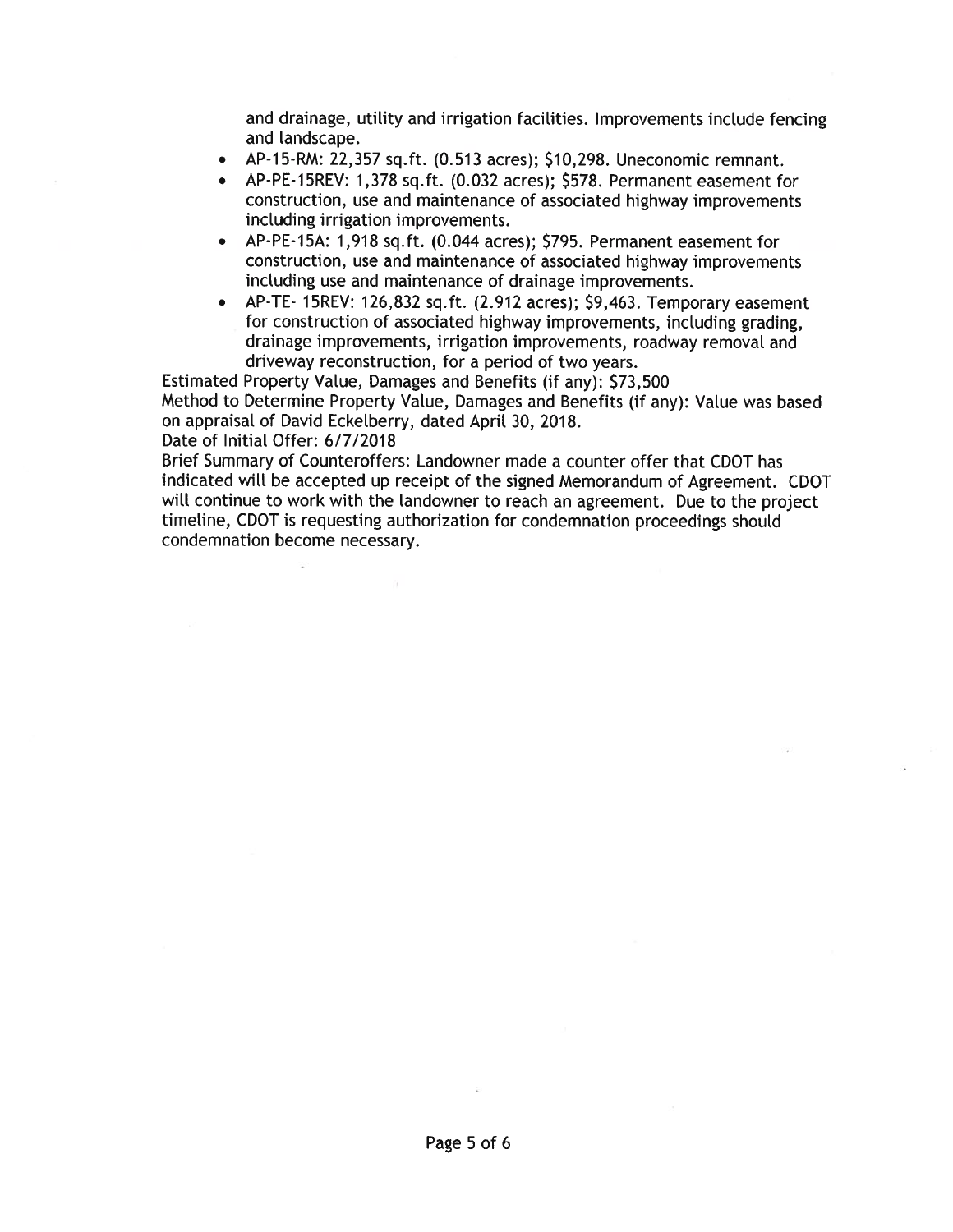and drainage, utility and irrigation facilities. Improvements include fencing and landscape.

- AP-15-RM: 22,357 sq.ft. (0.513 acres); \$10,298. Uneconomic remnant.
- AP-PE-15REV: 1,378 sq.ft. (0.032 acres); \$578. Permanent easement for construction, use and maintenance of associated highway improvements including irrigation improvements.
- AP-PE-15A: 1,918 sq.ft. (0.044 acres); \$795. Permanent easement for construction, use and maintenance of associated highway improvements including use and maintenance of drainage improvements.
- AP-TE-15REV: 126,832 sq.ft. (2.912 acres); \$9,463. Temporary easement for construction of associated highway improvements, including grading, drainage improvements, irrigation improvements, roadway removal and driveway reconstruction, for a period of two years.

Estimated Property Value, Damages and Benefits (if any): \$73,500 Method to Determine Property Value, Damages and Benefits (if any): Value was based on appraisal of David Eckelberry, dated April 30, 2018.

Date of Initial Offer: 6/7/2018

Brief Summary of Counteroffers: Landowner made a counter offer that CDOT has indicated will be accepted up receipt of the signed Memorandum of Agreement. CDOT will continue to work with the landowner to reach an agreement. Due to the project timeline, CDOT is requesting authorization for condemnation proceedings should condemnation become necessary.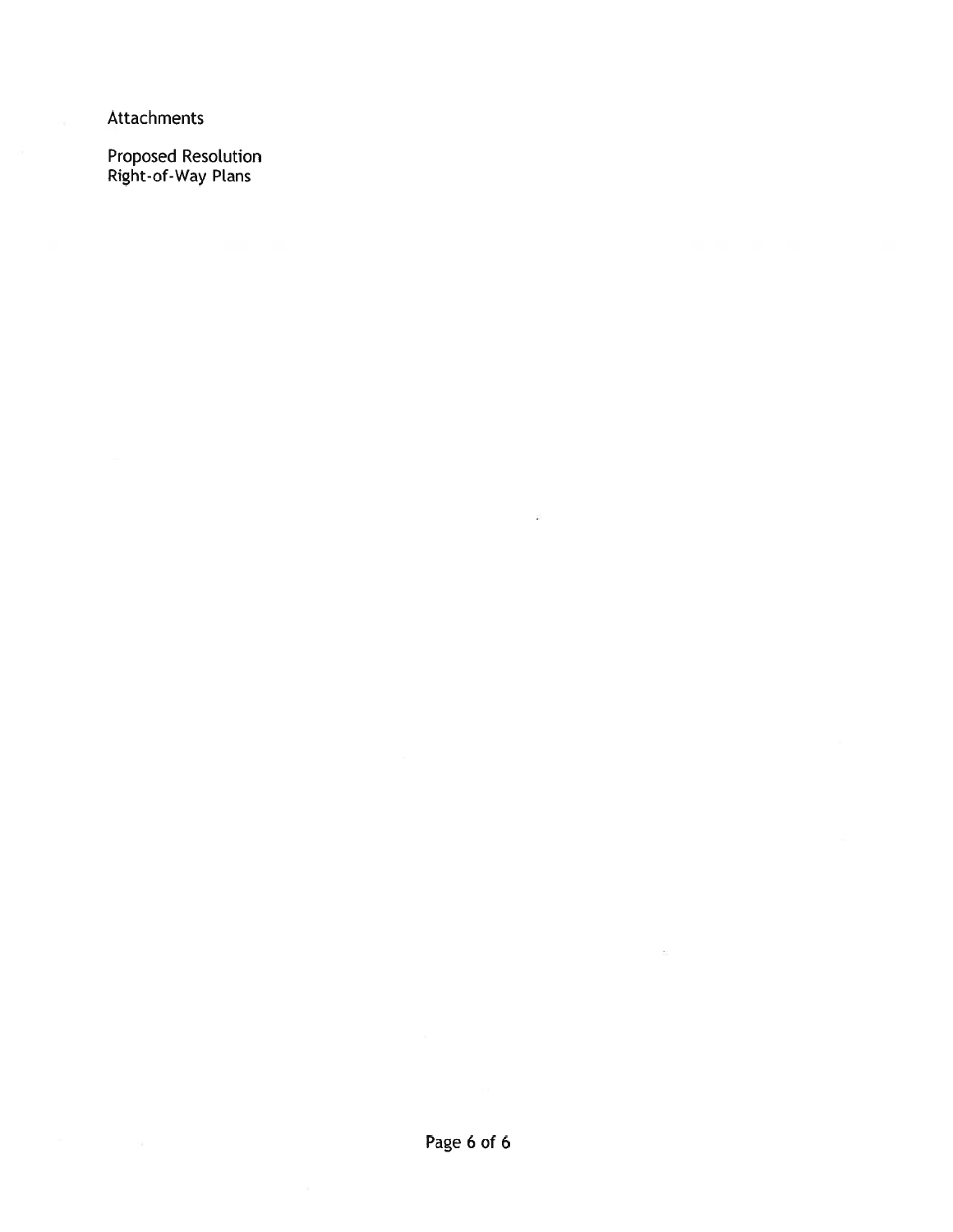Attachments

Proposed Resolution<br>Right-of-Way Plans

 $\tilde{\mathbf{r}}$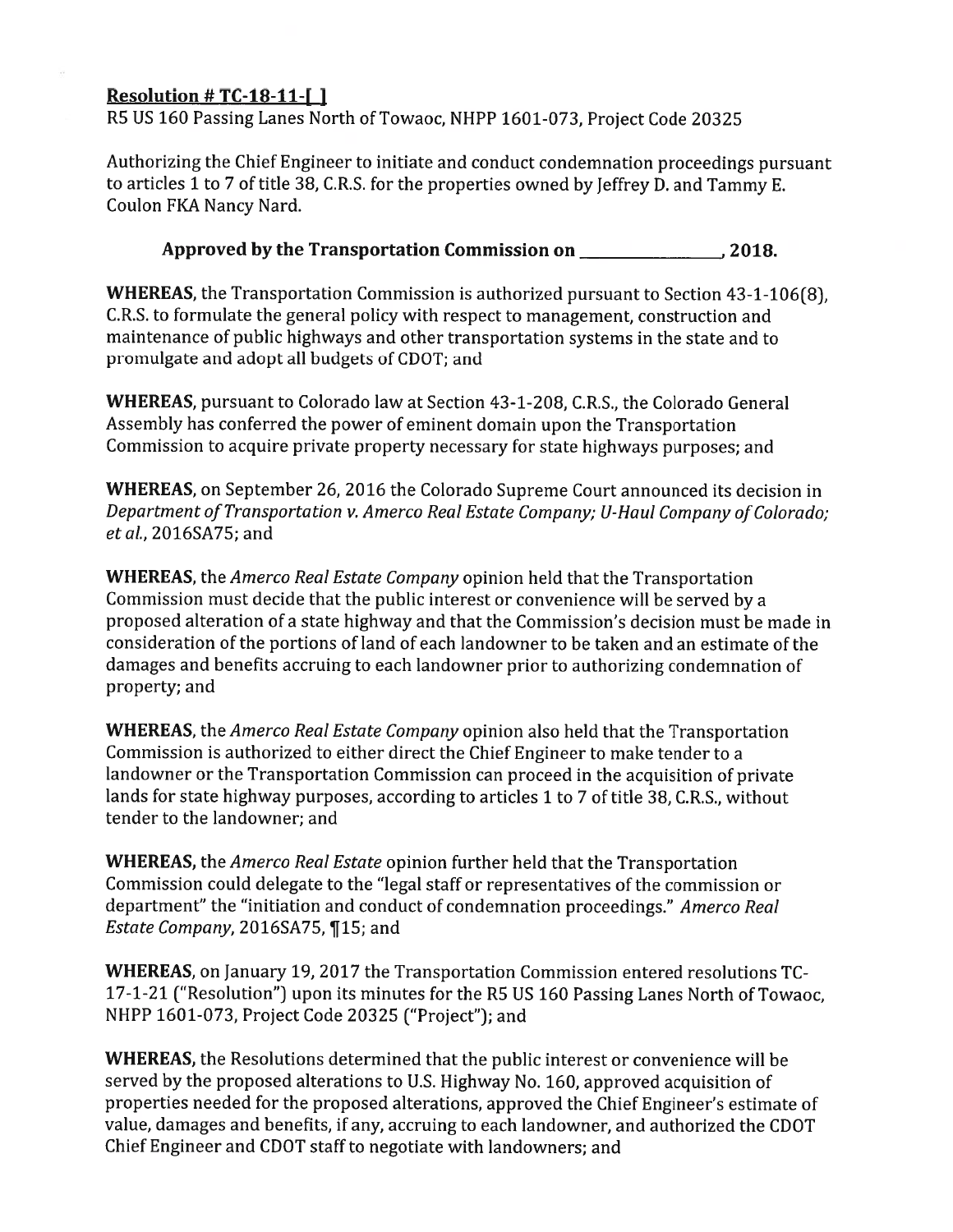# Resolution # TC-18-11-[]

R5 US 160 Passing Lanes North of Towaoc, NHPP 1601-073, Project Code 20325

Authorizing the Chief Engineer to initiate and conduct condemnation proceedings pursuant to articles 1 to 7 of title 38, C.R.S. for the properties owned by Jeffrey D. and Tammy E. Coulon FKA Nancy Nard.

## Approved by the Transportation Commission on 2018.

**WHEREAS, the Transportation Commission is authorized pursuant to Section 43-1-106(8).** C.R.S. to formulate the general policy with respect to management, construction and maintenance of public highways and other transportation systems in the state and to promulgate and adopt all budgets of CDOT; and

WHEREAS, pursuant to Colorado law at Section 43-1-208, C.R.S., the Colorado General Assembly has conferred the power of eminent domain upon the Transportation Commission to acquire private property necessary for state highways purposes: and

**WHEREAS, on September 26, 2016 the Colorado Supreme Court announced its decision in** Department of Transportation v. Amerco Real Estate Company; U-Haul Company of Colorado; et al., 2016SA75; and

**WHEREAS**, the *Amerco Real Estate Company* opinion held that the Transportation Commission must decide that the public interest or convenience will be served by a proposed alteration of a state highway and that the Commission's decision must be made in consideration of the portions of land of each landowner to be taken and an estimate of the damages and benefits accruing to each landowner prior to authorizing condemnation of property; and

**WHEREAS**, the *Amerco Real Estate Company* opinion also held that the Transportation Commission is authorized to either direct the Chief Engineer to make tender to a landowner or the Transportation Commission can proceed in the acquisition of private lands for state highway purposes, according to articles 1 to 7 of title 38, C.R.S., without tender to the landowner; and

**WHEREAS,** the *Amerco Real Estate* opinion further held that the Transportation Commission could delegate to the "legal staff or representatives of the commission or department" the "initiation and conduct of condemnation proceedings." Amerco Real Estate Company, 2016SA75, ¶15; and

WHEREAS, on January 19, 2017 the Transportation Commission entered resolutions TC-17-1-21 ("Resolution") upon its minutes for the R5 US 160 Passing Lanes North of Towaoc. NHPP 1601-073, Project Code 20325 ("Project"); and

**WHEREAS,** the Resolutions determined that the public interest or convenience will be served by the proposed alterations to U.S. Highway No. 160, approved acquisition of properties needed for the proposed alterations, approved the Chief Engineer's estimate of value, damages and benefits, if any, accruing to each landowner, and authorized the CDOT Chief Engineer and CDOT staff to negotiate with landowners; and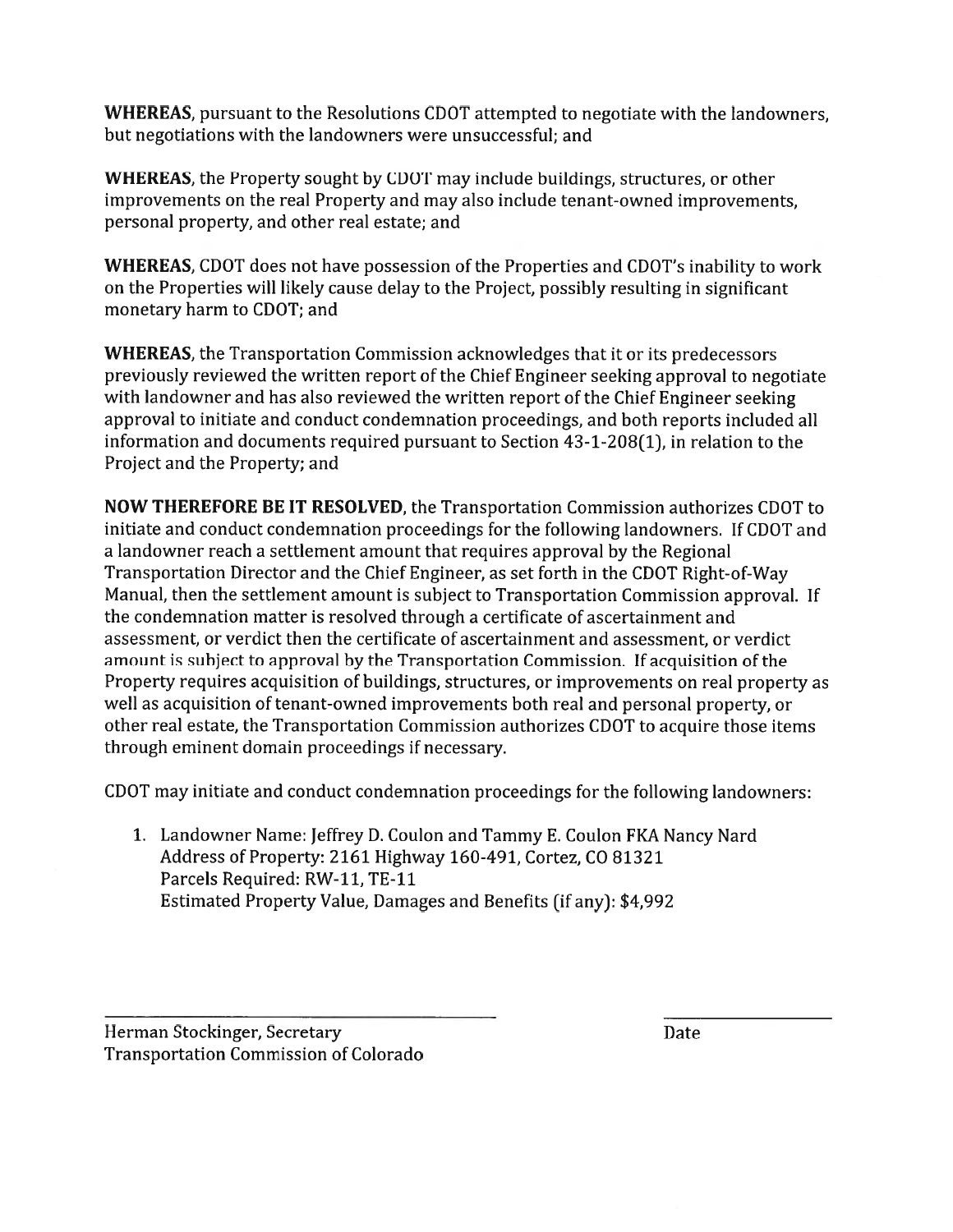**WHEREAS**, pursuant to the Resolutions CDOT attempted to negotiate with the landowners. but negotiations with the landowners were unsuccessful; and

**WHEREAS**, the Property sought by CDOT may include buildings, structures, or other improvements on the real Property and may also include tenant-owned improvements. personal property, and other real estate; and

WHEREAS, CDOT does not have possession of the Properties and CDOT's inability to work on the Properties will likely cause delay to the Project, possibly resulting in significant monetary harm to CDOT; and

**WHEREAS**, the Transportation Commission acknowledges that it or its predecessors previously reviewed the written report of the Chief Engineer seeking approval to negotiate with landowner and has also reviewed the written report of the Chief Engineer seeking approval to initiate and conduct condemnation proceedings, and both reports included all information and documents required pursuant to Section 43-1-208(1), in relation to the Project and the Property; and

NOW THEREFORE BE IT RESOLVED, the Transportation Commission authorizes CDOT to initiate and conduct condemnation proceedings for the following landowners. If CDOT and a landowner reach a settlement amount that requires approval by the Regional Transportation Director and the Chief Engineer, as set forth in the CDOT Right-of-Way Manual, then the settlement amount is subject to Transportation Commission approval. If the condemnation matter is resolved through a certificate of ascertainment and assessment, or verdict then the certificate of ascertainment and assessment, or verdict amount is subject to approval by the Transportation Commission. If acquisition of the Property requires acquisition of buildings, structures, or improvements on real property as well as acquisition of tenant-owned improvements both real and personal property, or other real estate, the Transportation Commission authorizes CDOT to acquire those items through eminent domain proceedings if necessary.

CDOT may initiate and conduct condemnation proceedings for the following landowners:

1. Landowner Name: Jeffrey D. Coulon and Tammy E. Coulon FKA Nancy Nard Address of Property: 2161 Highway 160-491, Cortez, CO 81321 Parcels Required: RW-11, TE-11 Estimated Property Value, Damages and Benefits (if any): \$4,992

Herman Stockinger, Secretary **Transportation Commission of Colorado**  Date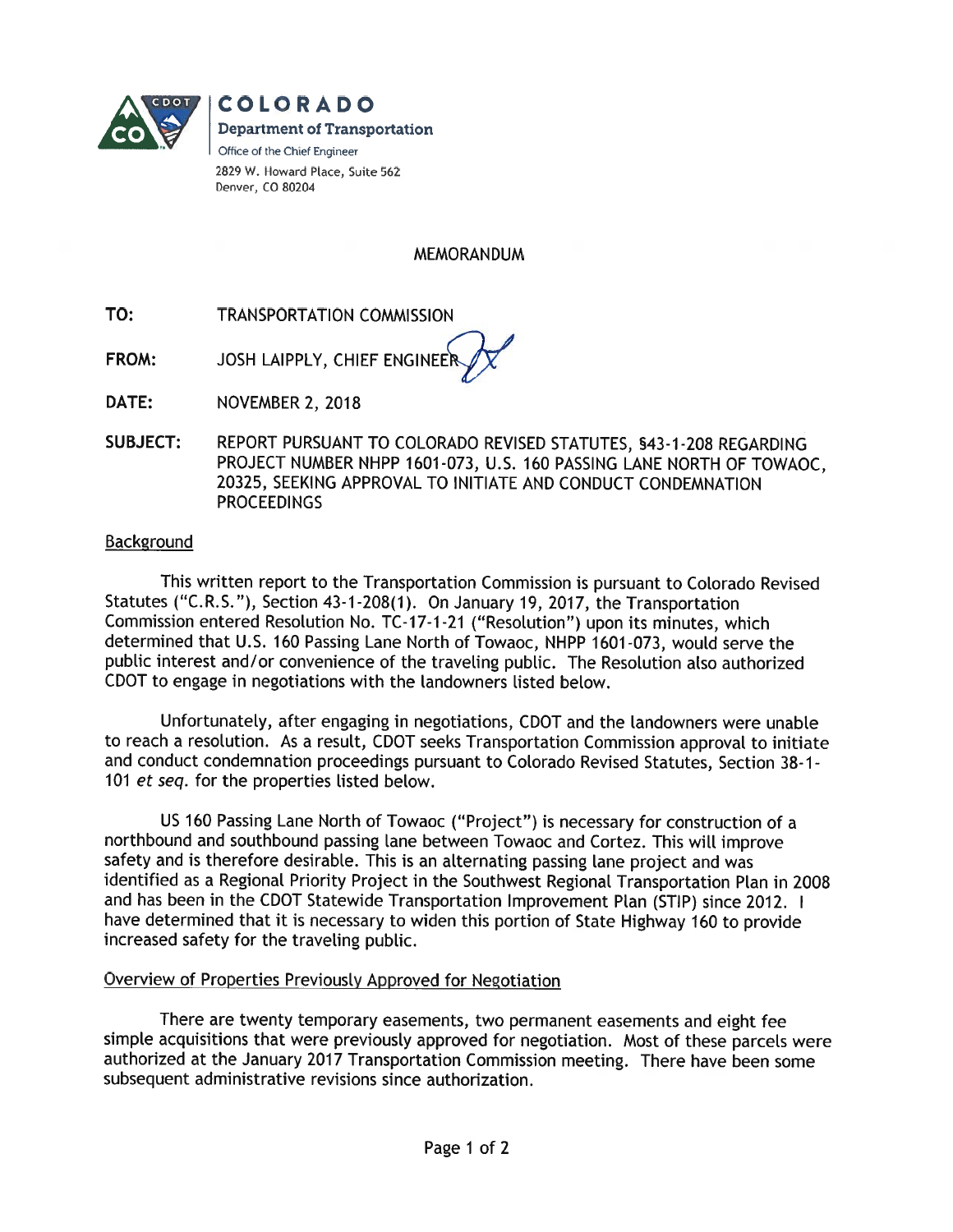

**COLORADO Department of Transportation** Office of the Chief Engineer 2829 W. Howard Place, Suite 562 Denver, CO 80204

**MEMORANDUM** 

TO: **TRANSPORTATION COMMISSION** 

JOSH LAIPPLY, CHIEF ENGINEER FROM:

**NOVEMBER 2, 2018** DATE:

**SUBJECT:** REPORT PURSUANT TO COLORADO REVISED STATUTES, §43-1-208 REGARDING PROJECT NUMBER NHPP 1601-073, U.S. 160 PASSING LANE NORTH OF TOWAOC. 20325, SEEKING APPROVAL TO INITIATE AND CONDUCT CONDEMNATION **PROCEEDINGS** 

## Background

This written report to the Transportation Commission is pursuant to Colorado Revised Statutes ("C.R.S."), Section 43-1-208(1). On January 19, 2017, the Transportation Commission entered Resolution No. TC-17-1-21 ("Resolution") upon its minutes, which determined that U.S. 160 Passing Lane North of Towaoc, NHPP 1601-073, would serve the public interest and/or convenience of the traveling public. The Resolution also authorized CDOT to engage in negotiations with the landowners listed below.

Unfortunately, after engaging in negotiations, CDOT and the landowners were unable to reach a resolution. As a result, CDOT seeks Transportation Commission approval to initiate and conduct condemnation proceedings pursuant to Colorado Revised Statutes, Section 38-1-101 et seq. for the properties listed below.

US 160 Passing Lane North of Towaoc ("Project") is necessary for construction of a northbound and southbound passing lane between Towaoc and Cortez. This will improve safety and is therefore desirable. This is an alternating passing lane project and was identified as a Regional Priority Project in the Southwest Regional Transportation Plan in 2008 and has been in the CDOT Statewide Transportation Improvement Plan (STIP) since 2012. I have determined that it is necessary to widen this portion of State Highway 160 to provide increased safety for the traveling public.

## Overview of Properties Previously Approved for Negotiation

There are twenty temporary easements, two permanent easements and eight fee simple acquisitions that were previously approved for negotiation. Most of these parcels were authorized at the January 2017 Transportation Commission meeting. There have been some subsequent administrative revisions since authorization.